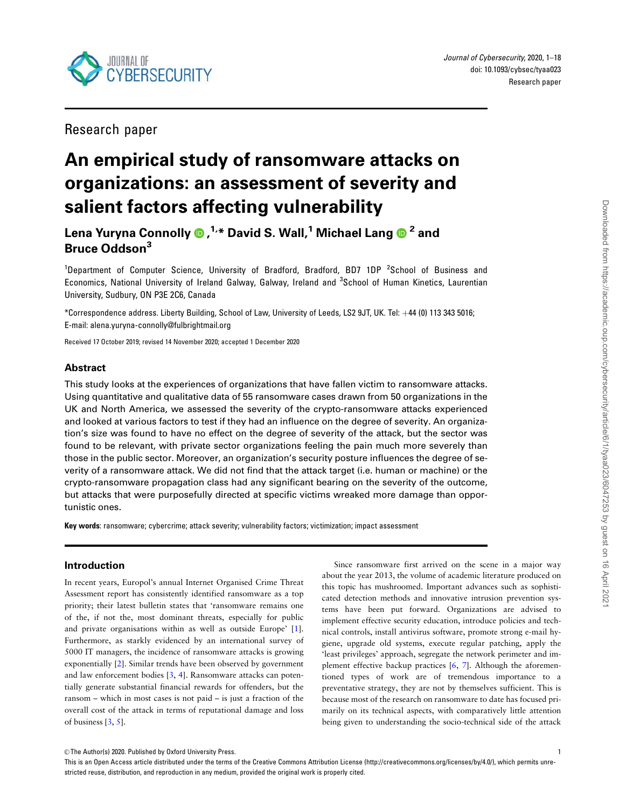<span id="page-0-0"></span>

Journal of Cybersecurity, 2020, 1–18 doi: 10.1093/cybsec/tyaa023 Research paper

Research paper

# An empirical study of ransomware attacks on organizations: an assessment of severity and salient factors affecting vulnerability

Lena Yuryna Connolly , 1,\* David S. Wall,1 Michael Lang <sup>2</sup> and Bruce Oddson<sup>3</sup>

<sup>1</sup>Department of Computer Science, University of Bradford, Bradford, BD7 1DP <sup>2</sup>School of Business and Economics, National University of Ireland Galway, Galway, Ireland and <sup>3</sup>School of Human Kinetics, Laurentian University, Sudbury, ON P3E 2C6, Canada

\*Correspondence address. Liberty Building, School of Law, University of Leeds, LS2 9JT, UK. Tel: +44 (0) 113 343 5016; E-mail: alena.yuryna-connolly@fulbrightmail.org

Received 17 October 2019; revised 14 November 2020; accepted 1 December 2020

## Abstract

This study looks at the experiences of organizations that have fallen victim to ransomware attacks. Using quantitative and qualitative data of 55 ransomware cases drawn from 50 organizations in the UK and North America, we assessed the severity of the crypto-ransomware attacks experienced and looked at various factors to test if they had an influence on the degree of severity. An organization's size was found to have no effect on the degree of severity of the attack, but the sector was found to be relevant, with private sector organizations feeling the pain much more severely than those in the public sector. Moreover, an organization's security posture influences the degree of severity of a ransomware attack. We did not find that the attack target (i.e. human or machine) or the crypto-ransomware propagation class had any significant bearing on the severity of the outcome, but attacks that were purposefully directed at specific victims wreaked more damage than opportunistic ones.

Key words: ransomware; cybercrime; attack severity; vulnerability factors; victimization; impact assessment

## Introduction

In recent years, Europol's annual Internet Organised Crime Threat Assessment report has consistently identified ransomware as a top priority; their latest bulletin states that 'ransomware remains one of the, if not the, most dominant threats, especially for public and private organisations within as well as outside Europe' [[1](#page-12-0)]. Furthermore, as starkly evidenced by an international survey of 5000 IT managers, the incidence of ransomware attacks is growing exponentially [[2\]](#page-12-0). Similar trends have been observed by government and law enforcement bodies [\[3,](#page-12-0) [4\]](#page-12-0). Ransomware attacks can potentially generate substantial financial rewards for offenders, but the ransom – which in most cases is not paid – is just a fraction of the overall cost of the attack in terms of reputational damage and loss of business [\[3,](#page-12-0) [5](#page-12-0)].

Since ransomware first arrived on the scene in a major way about the year 2013, the volume of academic literature produced on this topic has mushroomed. Important advances such as sophisticated detection methods and innovative intrusion prevention systems have been put forward. Organizations are advised to implement effective security education, introduce policies and technical controls, install antivirus software, promote strong e-mail hygiene, upgrade old systems, execute regular patching, apply the 'least privileges' approach, segregate the network perimeter and implement effective backup practices [\[6,](#page-12-0) [7\]](#page-12-0). Although the aforementioned types of work are of tremendous importance to a preventative strategy, they are not by themselves sufficient. This is because most of the research on ransomware to date has focused primarily on its technical aspects, with comparatively little attention being given to understanding the socio-technical side of the attack

This is an Open Access article distributed under the terms of the Creative Commons Attribution License (http://creativecommons.org/licenses/by/4.0/), which permits unrestricted reuse, distribution, and reproduction in any medium, provided the original work is properly cited.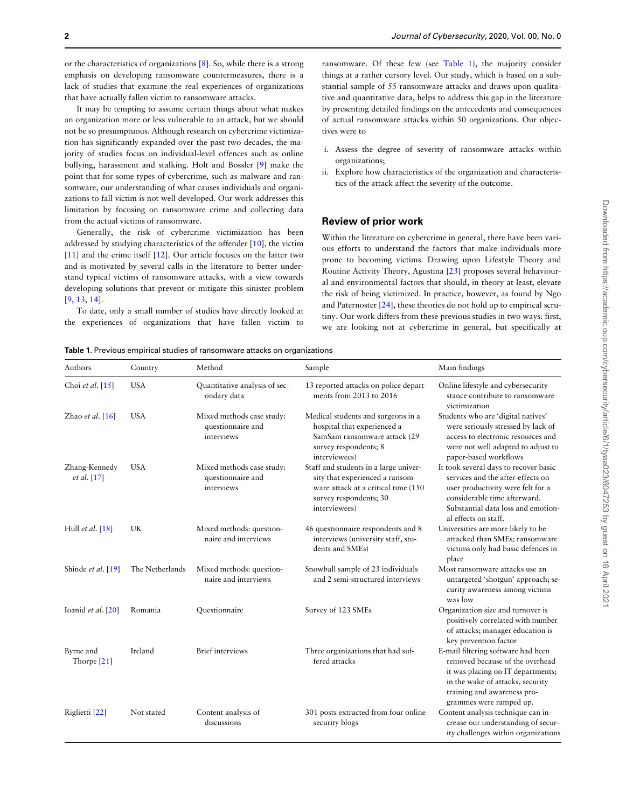<span id="page-1-0"></span>or the characteristics of organizations [\[8\]](#page-12-0). So, while there is a strong emphasis on developing ransomware countermeasures, there is a lack of studies that examine the real experiences of organizations that have actually fallen victim to ransomware attacks.

It may be tempting to assume certain things about what makes an organization more or less vulnerable to an attack, but we should not be so presumptuous. Although research on cybercrime victimization has significantly expanded over the past two decades, the majority of studies focus on individual-level offences such as online bullying, harassment and stalking. Holt and Bossler [[9](#page-12-0)] make the point that for some types of cybercrime, such as malware and ransomware, our understanding of what causes individuals and organizations to fall victim is not well developed. Our work addresses this limitation by focusing on ransomware crime and collecting data from the actual victims of ransomware.

Generally, the risk of cybercrime victimization has been addressed by studying characteristics of the offender [\[10\]](#page-12-0), the victim [[11\]](#page-12-0) and the crime itself [[12\]](#page-12-0). Our article focuses on the latter two and is motivated by several calls in the literature to better understand typical victims of ransomware attacks, with a view towards developing solutions that prevent or mitigate this sinister problem [[9](#page-12-0), [13](#page-12-0), [14](#page-12-0)].

To date, only a small number of studies have directly looked at the experiences of organizations that have fallen victim to

ransomware. Of these few (see Table 1), the majority consider things at a rather cursory level. Our study, which is based on a substantial sample of 55 ransomware attacks and draws upon qualitative and quantitative data, helps to address this gap in the literature by presenting detailed findings on the antecedents and consequences of actual ransomware attacks within 50 organizations. Our objectives were to

- i. Assess the degree of severity of ransomware attacks within organizations;
- ii. Explore how characteristics of the organization and characteristics of the attack affect the severity of the outcome.

## Review of prior work

Within the literature on cybercrime in general, there have been various efforts to understand the factors that make individuals more prone to becoming victims. Drawing upon Lifestyle Theory and Routine Activity Theory, Agustina [\[23](#page-12-0)] proposes several behavioural and environmental factors that should, in theory at least, elevate the risk of being victimized. In practice, however, as found by Ngo and Paternoster [\[24](#page-12-0)], these theories do not hold up to empirical scrutiny. Our work differs from these previous studies in two ways: first, we are looking not at cybercrime in general, but specifically at

Table 1. Previous empirical studies of ransomware attacks on organizations

| Authors                             | Country         | Method                                                       | Sample                                                                                                                                                     | Main findings                                                                                                                                                                                                 |
|-------------------------------------|-----------------|--------------------------------------------------------------|------------------------------------------------------------------------------------------------------------------------------------------------------------|---------------------------------------------------------------------------------------------------------------------------------------------------------------------------------------------------------------|
| Choi et al. $[15]$                  | <b>USA</b>      | Quantitative analysis of sec-<br>ondary data                 | 13 reported attacks on police depart-<br>ments from 2013 to 2016                                                                                           | Online lifestyle and cybersecurity<br>stance contribute to ransomware<br>victimization                                                                                                                        |
| Zhao et al. $[16]$                  | <b>USA</b>      | Mixed methods case study:<br>questionnaire and<br>interviews | Medical students and surgeons in a<br>hospital that experienced a<br>SamSam ransomware attack (29<br>survey respondents; 8<br>interviewees)                | Students who are 'digital natives'<br>were seriously stressed by lack of<br>access to electronic resources and<br>were not well adapted to adjust to<br>paper-based workflows                                 |
| Zhang-Kennedy<br><i>et al.</i> [17] | <b>USA</b>      | Mixed methods case study:<br>questionnaire and<br>interviews | Staff and students in a large univer-<br>sity that experienced a ransom-<br>ware attack at a critical time (150<br>survey respondents; 30<br>interviewees) | It took several days to recover basic<br>services and the after-effects on<br>user productivity were felt for a<br>considerable time afterward.<br>Substantial data loss and emotion-<br>al effects on staff. |
| Hull et al. [18]                    | UK              | Mixed methods: question-<br>naire and interviews             | 46 questionnaire respondents and 8<br>interviews (university staff, stu-<br>dents and SMEs)                                                                | Universities are more likely to be<br>attacked than SMEs; ransomware<br>victims only had basic defences in<br>place                                                                                           |
| Shinde et al. [19]                  | The Netherlands | Mixed methods: question-<br>naire and interviews             | Snowball sample of 23 individuals<br>and 2 semi-structured interviews                                                                                      | Most ransomware attacks use an<br>untargeted 'shotgun' approach; se-<br>curity awareness among victims<br>was low                                                                                             |
| Ioanid et al. $[20]$                | Romania         | Questionnaire                                                | Survey of 123 SMEs                                                                                                                                         | Organization size and turnover is<br>positively correlated with number<br>of attacks; manager education is<br>key prevention factor                                                                           |
| Byrne and<br>Thorpe <sup>[21]</sup> | Ireland         | <b>Brief</b> interviews                                      | Three organizations that had suf-<br>fered attacks                                                                                                         | E-mail filtering software had been<br>removed because of the overhead<br>it was placing on IT departments;<br>in the wake of attacks, security<br>training and awareness pro-<br>grammes were ramped up.      |
| Riglietti [22]                      | Not stated      | Content analysis of<br>discussions                           | 301 posts extracted from four online<br>security blogs                                                                                                     | Content analysis technique can in-<br>crease our understanding of secur-<br>ity challenges within organizations                                                                                               |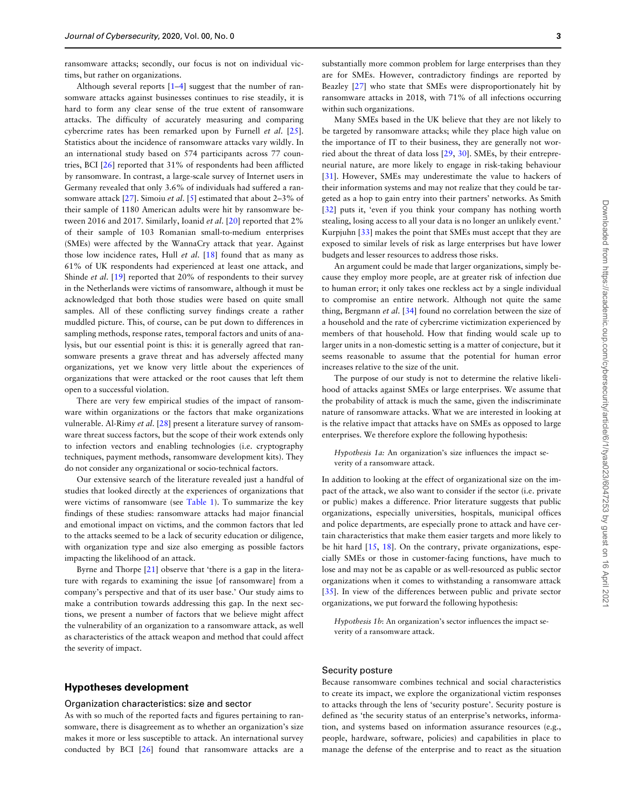<span id="page-2-0"></span>ransomware attacks; secondly, our focus is not on individual victims, but rather on organizations.

Although several reports [[1–4\]](#page-12-0) suggest that the number of ransomware attacks against businesses continues to rise steadily, it is hard to form any clear sense of the true extent of ransomware attacks. The difficulty of accurately measuring and comparing cybercrime rates has been remarked upon by Furnell et al. [\[25](#page-12-0)]. Statistics about the incidence of ransomware attacks vary wildly. In an international study based on 574 participants across 77 countries, BCI [\[26\]](#page-13-0) reported that 31% of respondents had been afflicted by ransomware. In contrast, a large-scale survey of Internet users in Germany revealed that only 3.6% of individuals had suffered a ran-somware attack [\[27](#page-13-0)]. Simoiu et al. [\[5\]](#page-12-0) estimated that about 2-3% of their sample of 1180 American adults were hit by ransomware be-tween 2016 and 2017. Similarly, Ioanid et al. [[20\]](#page-12-0) reported that 2% of their sample of 103 Romanian small-to-medium enterprises (SMEs) were affected by the WannaCry attack that year. Against those low incidence rates, Hull et al.  $[18]$  $[18]$  found that as many as 61% of UK respondents had experienced at least one attack, and Shinde et al. [[19](#page-12-0)] reported that 20% of respondents to their survey in the Netherlands were victims of ransomware, although it must be acknowledged that both those studies were based on quite small samples. All of these conflicting survey findings create a rather muddled picture. This, of course, can be put down to differences in sampling methods, response rates, temporal factors and units of analysis, but our essential point is this: it is generally agreed that ransomware presents a grave threat and has adversely affected many organizations, yet we know very little about the experiences of organizations that were attacked or the root causes that left them open to a successful violation.

There are very few empirical studies of the impact of ransomware within organizations or the factors that make organizations vulnerable. Al-Rimy et al. [[28\]](#page-13-0) present a literature survey of ransomware threat success factors, but the scope of their work extends only to infection vectors and enabling technologies (i.e. cryptography techniques, payment methods, ransomware development kits). They do not consider any organizational or socio-technical factors.

Our extensive search of the literature revealed just a handful of studies that looked directly at the experiences of organizations that were victims of ransomware (see [Table 1\)](#page-1-0). To summarize the key findings of these studies: ransomware attacks had major financial and emotional impact on victims, and the common factors that led to the attacks seemed to be a lack of security education or diligence, with organization type and size also emerging as possible factors impacting the likelihood of an attack.

Byrne and Thorpe [\[21](#page-12-0)] observe that 'there is a gap in the literature with regards to examining the issue [of ransomware] from a company's perspective and that of its user base.' Our study aims to make a contribution towards addressing this gap. In the next sections, we present a number of factors that we believe might affect the vulnerability of an organization to a ransomware attack, as well as characteristics of the attack weapon and method that could affect the severity of impact.

## Hypotheses development

#### Organization characteristics: size and sector

As with so much of the reported facts and figures pertaining to ransomware, there is disagreement as to whether an organization's size makes it more or less susceptible to attack. An international survey conducted by BCI [[26](#page-13-0)] found that ransomware attacks are a

substantially more common problem for large enterprises than they are for SMEs. However, contradictory findings are reported by Beazley [\[27\]](#page-13-0) who state that SMEs were disproportionately hit by ransomware attacks in 2018, with 71% of all infections occurring within such organizations.

Many SMEs based in the UK believe that they are not likely to be targeted by ransomware attacks; while they place high value on the importance of IT to their business, they are generally not worried about the threat of data loss [\[29](#page-13-0), [30\]](#page-13-0). SMEs, by their entrepreneurial nature, are more likely to engage in risk-taking behaviour [[31\]](#page-13-0). However, SMEs may underestimate the value to hackers of their information systems and may not realize that they could be targeted as a hop to gain entry into their partners' networks. As Smith [[32\]](#page-13-0) puts it, 'even if you think your company has nothing worth stealing, losing access to all your data is no longer an unlikely event.' Kurpjuhn [\[33\]](#page-13-0) makes the point that SMEs must accept that they are exposed to similar levels of risk as large enterprises but have lower budgets and lesser resources to address those risks.

An argument could be made that larger organizations, simply because they employ more people, are at greater risk of infection due to human error; it only takes one reckless act by a single individual to compromise an entire network. Although not quite the same thing, Bergmann et al. [[34](#page-13-0)] found no correlation between the size of a household and the rate of cybercrime victimization experienced by members of that household. How that finding would scale up to larger units in a non-domestic setting is a matter of conjecture, but it seems reasonable to assume that the potential for human error increases relative to the size of the unit.

The purpose of our study is not to determine the relative likelihood of attacks against SMEs or large enterprises. We assume that the probability of attack is much the same, given the indiscriminate nature of ransomware attacks. What we are interested in looking at is the relative impact that attacks have on SMEs as opposed to large enterprises. We therefore explore the following hypothesis:

Hypothesis 1a: An organization's size influences the impact severity of a ransomware attack.

In addition to looking at the effect of organizational size on the impact of the attack, we also want to consider if the sector (i.e. private or public) makes a difference. Prior literature suggests that public organizations, especially universities, hospitals, municipal offices and police departments, are especially prone to attack and have certain characteristics that make them easier targets and more likely to be hit hard [\[15,](#page-12-0) [18](#page-12-0)]. On the contrary, private organizations, especially SMEs or those in customer-facing functions, have much to lose and may not be as capable or as well-resourced as public sector organizations when it comes to withstanding a ransomware attack [[35\]](#page-13-0). In view of the differences between public and private sector organizations, we put forward the following hypothesis:

Hypothesis 1b: An organization's sector influences the impact severity of a ransomware attack.

#### Security posture

Because ransomware combines technical and social characteristics to create its impact, we explore the organizational victim responses to attacks through the lens of 'security posture'. Security posture is defined as 'the security status of an enterprise's networks, information, and systems based on information assurance resources (e.g., people, hardware, software, policies) and capabilities in place to manage the defense of the enterprise and to react as the situation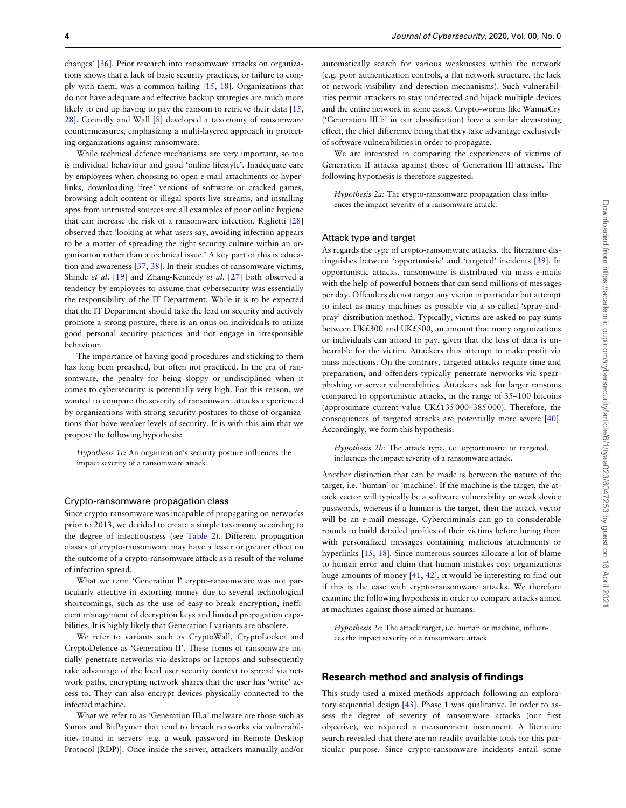<span id="page-3-0"></span>changes' [[36\]](#page-13-0). Prior research into ransomware attacks on organizations shows that a lack of basic security practices, or failure to comply with them, was a common failing [\[15,](#page-12-0) [18\]](#page-12-0). Organizations that do not have adequate and effective backup strategies are much more likely to end up having to pay the ransom to retrieve their data [\[15,](#page-12-0) [28\]](#page-13-0). Connolly and Wall [\[8\]](#page-12-0) developed a taxonomy of ransomware countermeasures, emphasizing a multi-layered approach in protecting organizations against ransomware.

While technical defence mechanisms are very important, so too is individual behaviour and good 'online lifestyle'. Inadequate care by employees when choosing to open e-mail attachments or hyperlinks, downloading 'free' versions of software or cracked games, browsing adult content or illegal sports live streams, and installing apps from untrusted sources are all examples of poor online hygiene that can increase the risk of a ransomware infection. Riglietti [[28](#page-13-0)] observed that 'looking at what users say, avoiding infection appears to be a matter of spreading the right security culture within an organisation rather than a technical issue.' A key part of this is education and awareness [\[37,](#page-13-0) [38](#page-13-0)]. In their studies of ransomware victims, Shinde et al. [\[19\]](#page-12-0) and Zhang-Kennedy et al. [[27\]](#page-13-0) both observed a tendency by employees to assume that cybersecurity was essentially the responsibility of the IT Department. While it is to be expected that the IT Department should take the lead on security and actively promote a strong posture, there is an onus on individuals to utilize good personal security practices and not engage in irresponsible behaviour.

The importance of having good procedures and sticking to them has long been preached, but often not practiced. In the era of ransomware, the penalty for being sloppy or undisciplined when it comes to cybersecurity is potentially very high. For this reason, we wanted to compare the severity of ransomware attacks experienced by organizations with strong security postures to those of organizations that have weaker levels of security. It is with this aim that we propose the following hypothesis:

Hypothesis 1c: An organization's security posture influences the impact severity of a ransomware attack.

#### Crypto-ransomware propagation class

Since crypto-ransomware was incapable of propagating on networks prior to 2013, we decided to create a simple taxonomy according to the degree of infectiousness (see [Table 2](#page-4-0)). Different propagation classes of crypto-ransomware may have a lesser or greater effect on the outcome of a crypto-ransomware attack as a result of the volume of infection spread.

What we term 'Generation I' crypto-ransomware was not particularly effective in extorting money due to several technological shortcomings, such as the use of easy-to-break encryption, inefficient management of decryption keys and limited propagation capabilities. It is highly likely that Generation I variants are obsolete.

We refer to variants such as CryptoWall, CryptoLocker and CryptoDefence as 'Generation II'. These forms of ransomware initially penetrate networks via desktops or laptops and subsequently take advantage of the local user security context to spread via network paths, encrypting network shares that the user has 'write' access to. They can also encrypt devices physically connected to the infected machine.

What we refer to as 'Generation III.a' malware are those such as Samas and BitPaymer that tend to breach networks via vulnerabilities found in servers [e.g. a weak password in Remote Desktop Protocol (RDP)]. Once inside the server, attackers manually and/or

automatically search for various weaknesses within the network (e.g. poor authentication controls, a flat network structure, the lack of network visibility and detection mechanisms). Such vulnerabilities permit attackers to stay undetected and hijack multiple devices and the entire network in some cases. Crypto-worms like WannaCry ('Generation III.b' in our classification) have a similar devastating effect, the chief difference being that they take advantage exclusively of software vulnerabilities in order to propagate.

We are interested in comparing the experiences of victims of Generation II attacks against those of Generation III attacks. The following hypothesis is therefore suggested:

Hypothesis 2a: The crypto-ransomware propagation class influences the impact severity of a ransomware attack.

#### Attack type and target

As regards the type of crypto-ransomware attacks, the literature distinguishes between 'opportunistic' and 'targeted' incidents [\[39](#page-13-0)]. In opportunistic attacks, ransomware is distributed via mass e-mails with the help of powerful botnets that can send millions of messages per day. Offenders do not target any victim in particular but attempt to infect as many machines as possible via a so-called 'spray-andpray' distribution method. Typically, victims are asked to pay sums between UK£300 and UK£500, an amount that many organizations or individuals can afford to pay, given that the loss of data is unbearable for the victim. Attackers thus attempt to make profit via mass infections. On the contrary, targeted attacks require time and preparation, and offenders typically penetrate networks via spearphishing or server vulnerabilities. Attackers ask for larger ransoms compared to opportunistic attacks, in the range of 35–100 bitcoins (approximate current value UK£135 000–385 000). Therefore, the consequences of targeted attacks are potentially more severe [\[40](#page-13-0)]. Accordingly, we form this hypothesis:

Hypothesis 2b: The attack type, i.e. opportunistic or targeted, influences the impact severity of a ransomware attack.

Another distinction that can be made is between the nature of the target, i.e. 'human' or 'machine'. If the machine is the target, the attack vector will typically be a software vulnerability or weak device passwords, whereas if a human is the target, then the attack vector will be an e-mail message. Cybercriminals can go to considerable rounds to build detailed profiles of their victims before luring them with personalized messages containing malicious attachments or hyperlinks [\[15,](#page-12-0) [18\]](#page-12-0). Since numerous sources allocate a lot of blame to human error and claim that human mistakes cost organizations huge amounts of money [\[41,](#page-13-0) [42](#page-13-0)], it would be interesting to find out if this is the case with crypto-ransomware attacks. We therefore examine the following hypothesis in order to compare attacks aimed at machines against those aimed at humans:

Hypothesis 2c: The attack target, i.e. human or machine, influences the impact severity of a ransomware attack

## Research method and analysis of findings

This study used a mixed methods approach following an exploratory sequential design [\[43\]](#page-13-0). Phase 1 was qualitative. In order to assess the degree of severity of ransomware attacks (our first objective), we required a measurement instrument. A literature search revealed that there are no readily available tools for this particular purpose. Since crypto-ransomware incidents entail some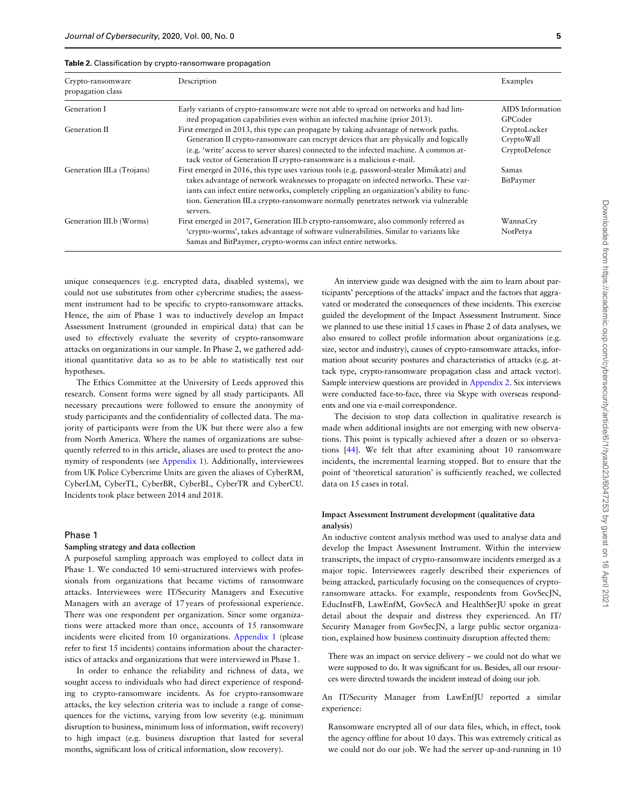| Crypto-ransomware<br>propagation class | Description                                                                                                                                                                                                                                                                                                                                                                     | Examples                                    |
|----------------------------------------|---------------------------------------------------------------------------------------------------------------------------------------------------------------------------------------------------------------------------------------------------------------------------------------------------------------------------------------------------------------------------------|---------------------------------------------|
| Generation I                           | Early variants of crypto-ransomware were not able to spread on networks and had lim-<br>ited propagation capabilities even within an infected machine (prior 2013).                                                                                                                                                                                                             | AIDS Information<br>GPCoder                 |
| Generation II                          | First emerged in 2013, this type can propagate by taking advantage of network paths.<br>Generation II crypto-ransomware can encrypt devices that are physically and logically<br>(e.g. 'write' access to server shares) connected to the infected machine. A common at-<br>tack vector of Generation II crypto-ransomware is a malicious e-mail.                                | CryptoLocker<br>CryptoWall<br>CryptoDefence |
| Generation III.a (Trojans)             | First emerged in 2016, this type uses various tools (e.g. password-stealer Mimikatz) and<br>takes advantage of network weaknesses to propagate on infected networks. These var-<br>iants can infect entire networks, completely crippling an organization's ability to func-<br>tion. Generation III.a crypto-ransomware normally penetrates network via vulnerable<br>servers. | <b>Samas</b><br>BitPaymer                   |
| Generation III.b (Worms)               | First emerged in 2017, Generation III.b crypto-ransomware, also commonly referred as<br>'crypto-worms', takes advantage of software vulnerabilities. Similar to variants like<br>Samas and BitPaymer, crypto-worms can infect entire networks.                                                                                                                                  | WannaCry<br>NotPetya                        |

<span id="page-4-0"></span>

| Table 2. Classification by crypto-ransomware propagation |  |  |
|----------------------------------------------------------|--|--|
|----------------------------------------------------------|--|--|

unique consequences (e.g. encrypted data, disabled systems), we could not use substitutes from other cybercrime studies; the assessment instrument had to be specific to crypto-ransomware attacks. Hence, the aim of Phase 1 was to inductively develop an Impact Assessment Instrument (grounded in empirical data) that can be used to effectively evaluate the severity of crypto-ransomware attacks on organizations in our sample. In Phase 2, we gathered additional quantitative data so as to be able to statistically test our hypotheses.

The Ethics Committee at the University of Leeds approved this research. Consent forms were signed by all study participants. All necessary precautions were followed to ensure the anonymity of study participants and the confidentiality of collected data. The majority of participants were from the UK but there were also a few from North America. Where the names of organizations are subsequently referred to in this article, aliases are used to protect the anonymity of respondents (see Appendix 1). Additionally, interviewees from UK Police Cybercrime Units are given the aliases of CyberRM, CyberLM, CyberTL, CyberBR, CyberBL, CyberTR and CyberCU. Incidents took place between 2014 and 2018.

#### Phase 1

## Sampling strategy and data collection

A purposeful sampling approach was employed to collect data in Phase 1. We conducted 10 semi-structured interviews with professionals from organizations that became victims of ransomware attacks. Interviewees were IT/Security Managers and Executive Managers with an average of 17 years of professional experience. There was one respondent per organization. Since some organizations were attacked more than once, accounts of 15 ransomware incidents were elicited from 10 organizations. Appendix 1 (please refer to first 15 incidents) contains information about the characteristics of attacks and organizations that were interviewed in Phase 1.

In order to enhance the reliability and richness of data, we sought access to individuals who had direct experience of responding to crypto-ransomware incidents. As for crypto-ransomware attacks, the key selection criteria was to include a range of consequences for the victims, varying from low severity (e.g. minimum disruption to business, minimum loss of information, swift recovery) to high impact (e.g. business disruption that lasted for several months, significant loss of critical information, slow recovery).

An interview guide was designed with the aim to learn about participants' perceptions of the attacks' impact and the factors that aggravated or moderated the consequences of these incidents. This exercise guided the development of the Impact Assessment Instrument. Since we planned to use these initial 15 cases in Phase 2 of data analyses, we also ensured to collect profile information about organizations (e.g. size, sector and industry), causes of crypto-ransomware attacks, information about security postures and characteristics of attacks (e.g. attack type, crypto-ransomware propagation class and attack vector). Sample interview questions are provided in Appendix 2. Six interviews were conducted face-to-face, three via Skype with overseas respondents and one via e-mail correspondence.

The decision to stop data collection in qualitative research is made when additional insights are not emerging with new observations. This point is typically achieved after a dozen or so observations [\[44\]](#page-13-0). We felt that after examining about 10 ransomware incidents, the incremental learning stopped. But to ensure that the point of 'theoretical saturation' is sufficiently reached, we collected data on 15 cases in total.

## Impact Assessment Instrument development (qualitative data analysis)

An inductive content analysis method was used to analyse data and develop the Impact Assessment Instrument. Within the interview transcripts, the impact of crypto-ransomware incidents emerged as a major topic. Interviewees eagerly described their experiences of being attacked, particularly focusing on the consequences of cryptoransomware attacks. For example, respondents from GovSecJN, EducInstFB, LawEnfM, GovSecA and HealthSerJU spoke in great detail about the despair and distress they experienced. An IT/ Security Manager from GovSecJN, a large public sector organization, explained how business continuity disruption affected them:

There was an impact on service delivery – we could not do what we were supposed to do. It was significant for us. Besides, all our resources were directed towards the incident instead of doing our job.

An IT/Security Manager from LawEnfJU reported a similar experience:

Ransomware encrypted all of our data files, which, in effect, took the agency offline for about 10 days. This was extremely critical as we could not do our job. We had the server up-and-running in 10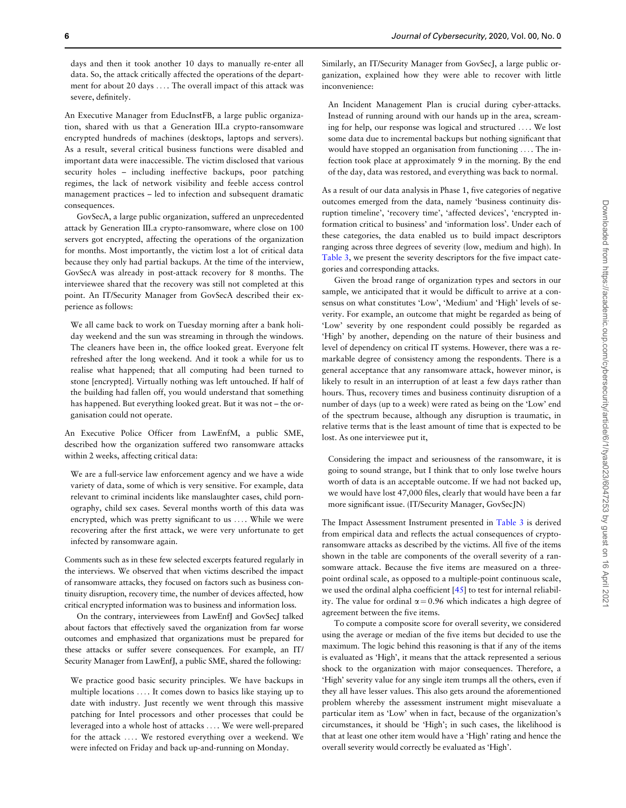<span id="page-5-0"></span>days and then it took another 10 days to manually re-enter all data. So, the attack critically affected the operations of the department for about 20 days ... . The overall impact of this attack was severe, definitely.

An Executive Manager from EducInstFB, a large public organization, shared with us that a Generation III.a crypto-ransomware encrypted hundreds of machines (desktops, laptops and servers). As a result, several critical business functions were disabled and important data were inaccessible. The victim disclosed that various security holes – including ineffective backups, poor patching regimes, the lack of network visibility and feeble access control management practices – led to infection and subsequent dramatic consequences.

GovSecA, a large public organization, suffered an unprecedented attack by Generation III.a crypto-ransomware, where close on 100 servers got encrypted, affecting the operations of the organization for months. Most importantly, the victim lost a lot of critical data because they only had partial backups. At the time of the interview, GovSecA was already in post-attack recovery for 8 months. The interviewee shared that the recovery was still not completed at this point. An IT/Security Manager from GovSecA described their experience as follows:

We all came back to work on Tuesday morning after a bank holiday weekend and the sun was streaming in through the windows. The cleaners have been in, the office looked great. Everyone felt refreshed after the long weekend. And it took a while for us to realise what happened; that all computing had been turned to stone [encrypted]. Virtually nothing was left untouched. If half of the building had fallen off, you would understand that something has happened. But everything looked great. But it was not – the organisation could not operate.

An Executive Police Officer from LawEnfM, a public SME, described how the organization suffered two ransomware attacks within 2 weeks, affecting critical data:

We are a full-service law enforcement agency and we have a wide variety of data, some of which is very sensitive. For example, data relevant to criminal incidents like manslaughter cases, child pornography, child sex cases. Several months worth of this data was encrypted, which was pretty significant to us ... . While we were recovering after the first attack, we were very unfortunate to get infected by ransomware again.

Comments such as in these few selected excerpts featured regularly in the interviews. We observed that when victims described the impact of ransomware attacks, they focused on factors such as business continuity disruption, recovery time, the number of devices affected, how critical encrypted information was to business and information loss.

On the contrary, interviewees from LawEnfJ and GovSecJ talked about factors that effectively saved the organization from far worse outcomes and emphasized that organizations must be prepared for these attacks or suffer severe consequences. For example, an IT/ Security Manager from LawEnfJ, a public SME, shared the following:

We practice good basic security principles. We have backups in multiple locations ... . It comes down to basics like staying up to date with industry. Just recently we went through this massive patching for Intel processors and other processes that could be leveraged into a whole host of attacks ... . We were well-prepared for the attack ... . We restored everything over a weekend. We were infected on Friday and back up-and-running on Monday.

Similarly, an IT/Security Manager from GovSecJ, a large public organization, explained how they were able to recover with little inconvenience:

An Incident Management Plan is crucial during cyber-attacks. Instead of running around with our hands up in the area, screaming for help, our response was logical and structured ... . We lost some data due to incremental backups but nothing significant that would have stopped an organisation from functioning ... . The infection took place at approximately 9 in the morning. By the end of the day, data was restored, and everything was back to normal.

As a result of our data analysis in Phase 1, five categories of negative outcomes emerged from the data, namely 'business continuity disruption timeline', 'recovery time', 'affected devices', 'encrypted information critical to business' and 'information loss'. Under each of these categories, the data enabled us to build impact descriptors ranging across three degrees of severity (low, medium and high). In [Table 3](#page-6-0), we present the severity descriptors for the five impact categories and corresponding attacks.

Given the broad range of organization types and sectors in our sample, we anticipated that it would be difficult to arrive at a consensus on what constitutes 'Low', 'Medium' and 'High' levels of severity. For example, an outcome that might be regarded as being of 'Low' severity by one respondent could possibly be regarded as 'High' by another, depending on the nature of their business and level of dependency on critical IT systems. However, there was a remarkable degree of consistency among the respondents. There is a general acceptance that any ransomware attack, however minor, is likely to result in an interruption of at least a few days rather than hours. Thus, recovery times and business continuity disruption of a number of days (up to a week) were rated as being on the 'Low' end of the spectrum because, although any disruption is traumatic, in relative terms that is the least amount of time that is expected to be lost. As one interviewee put it,

Considering the impact and seriousness of the ransomware, it is going to sound strange, but I think that to only lose twelve hours worth of data is an acceptable outcome. If we had not backed up, we would have lost 47,000 files, clearly that would have been a far more significant issue. (IT/Security Manager, GovSecJN)

The Impact Assessment Instrument presented in [Table 3](#page-6-0) is derived from empirical data and reflects the actual consequences of cryptoransomware attacks as described by the victims. All five of the items shown in the table are components of the overall severity of a ransomware attack. Because the five items are measured on a threepoint ordinal scale, as opposed to a multiple-point continuous scale, we used the ordinal alpha coefficient [\[45\]](#page-13-0) to test for internal reliability. The value for ordinal  $\alpha = 0.96$  which indicates a high degree of agreement between the five items.

To compute a composite score for overall severity, we considered using the average or median of the five items but decided to use the maximum. The logic behind this reasoning is that if any of the items is evaluated as 'High', it means that the attack represented a serious shock to the organization with major consequences. Therefore, a 'High' severity value for any single item trumps all the others, even if they all have lesser values. This also gets around the aforementioned problem whereby the assessment instrument might misevaluate a particular item as 'Low' when in fact, because of the organization's circumstances, it should be 'High'; in such cases, the likelihood is that at least one other item would have a 'High' rating and hence the overall severity would correctly be evaluated as 'High'.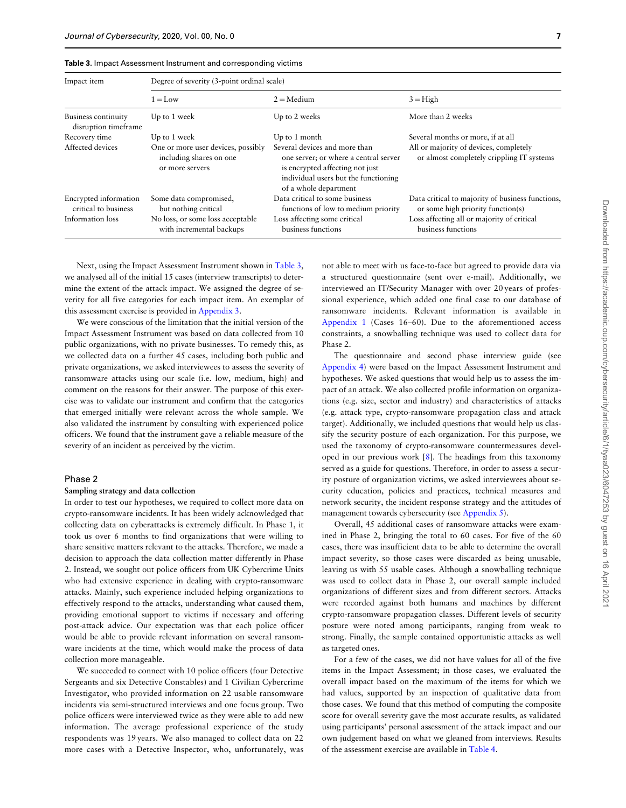<span id="page-6-0"></span>

| <b>Table 3.</b> Impact Assessment Instrument and corresponding victims |  |
|------------------------------------------------------------------------|--|
|                                                                        |  |

| Impact item                                   | Degree of severity (3-point ordinal scale)                                       |                                                                                                                                                                            |                                                                                       |  |
|-----------------------------------------------|----------------------------------------------------------------------------------|----------------------------------------------------------------------------------------------------------------------------------------------------------------------------|---------------------------------------------------------------------------------------|--|
|                                               | $1 = L$ ow                                                                       | $2 =$ Medium                                                                                                                                                               | $3 =$ High                                                                            |  |
| Business continuity<br>disruption timeframe   | Up to 1 week                                                                     | Up to 2 weeks                                                                                                                                                              | More than 2 weeks                                                                     |  |
| Recovery time                                 | Up to 1 week                                                                     | Up to 1 month                                                                                                                                                              | Several months or more, if at all                                                     |  |
| Affected devices                              | One or more user devices, possibly<br>including shares on one<br>or more servers | Several devices and more than<br>one server; or where a central server<br>is encrypted affecting not just<br>individual users but the functioning<br>of a whole department | All or majority of devices, completely<br>or almost completely crippling IT systems   |  |
| Encrypted information<br>critical to business | Some data compromised,<br>but nothing critical                                   | Data critical to some business<br>functions of low to medium priority                                                                                                      | Data critical to majority of business functions,<br>or some high priority function(s) |  |
| Information loss                              | No loss, or some loss acceptable<br>with incremental backups                     | Loss affecting some critical<br>business functions                                                                                                                         | Loss affecting all or majority of critical<br>business functions                      |  |

Next, using the Impact Assessment Instrument shown in Table 3, we analysed all of the initial 15 cases (interview transcripts) to determine the extent of the attack impact. We assigned the degree of severity for all five categories for each impact item. An exemplar of this assessment exercise is provided in Appendix 3.

We were conscious of the limitation that the initial version of the Impact Assessment Instrument was based on data collected from 10 public organizations, with no private businesses. To remedy this, as we collected data on a further 45 cases, including both public and private organizations, we asked interviewees to assess the severity of ransomware attacks using our scale (i.e. low, medium, high) and comment on the reasons for their answer. The purpose of this exercise was to validate our instrument and confirm that the categories that emerged initially were relevant across the whole sample. We also validated the instrument by consulting with experienced police officers. We found that the instrument gave a reliable measure of the severity of an incident as perceived by the victim.

## Phase 2

#### Sampling strategy and data collection

In order to test our hypotheses, we required to collect more data on crypto-ransomware incidents. It has been widely acknowledged that collecting data on cyberattacks is extremely difficult. In Phase 1, it took us over 6 months to find organizations that were willing to share sensitive matters relevant to the attacks. Therefore, we made a decision to approach the data collection matter differently in Phase 2. Instead, we sought out police officers from UK Cybercrime Units who had extensive experience in dealing with crypto-ransomware attacks. Mainly, such experience included helping organizations to effectively respond to the attacks, understanding what caused them, providing emotional support to victims if necessary and offering post-attack advice. Our expectation was that each police officer would be able to provide relevant information on several ransomware incidents at the time, which would make the process of data collection more manageable.

We succeeded to connect with 10 police officers (four Detective Sergeants and six Detective Constables) and 1 Civilian Cybercrime Investigator, who provided information on 22 usable ransomware incidents via semi-structured interviews and one focus group. Two police officers were interviewed twice as they were able to add new information. The average professional experience of the study respondents was 19 years. We also managed to collect data on 22 more cases with a Detective Inspector, who, unfortunately, was

not able to meet with us face-to-face but agreed to provide data via a structured questionnaire (sent over e-mail). Additionally, we interviewed an IT/Security Manager with over 20 years of professional experience, which added one final case to our database of ransomware incidents. Relevant information is available in Appendix 1 (Cases 16–60). Due to the aforementioned access constraints, a snowballing technique was used to collect data for Phase 2.

The questionnaire and second phase interview guide (see Appendix 4) were based on the Impact Assessment Instrument and hypotheses. We asked questions that would help us to assess the impact of an attack. We also collected profile information on organizations (e.g. size, sector and industry) and characteristics of attacks (e.g. attack type, crypto-ransomware propagation class and attack target). Additionally, we included questions that would help us classify the security posture of each organization. For this purpose, we used the taxonomy of crypto-ransomware countermeasures developed in our previous work [\[8\]](#page-12-0). The headings from this taxonomy served as a guide for questions. Therefore, in order to assess a security posture of organization victims, we asked interviewees about security education, policies and practices, technical measures and network security, the incident response strategy and the attitudes of management towards cybersecurity (see Appendix 5).

Overall, 45 additional cases of ransomware attacks were examined in Phase 2, bringing the total to 60 cases. For five of the 60 cases, there was insufficient data to be able to determine the overall impact severity, so those cases were discarded as being unusable, leaving us with 55 usable cases. Although a snowballing technique was used to collect data in Phase 2, our overall sample included organizations of different sizes and from different sectors. Attacks were recorded against both humans and machines by different crypto-ransomware propagation classes. Different levels of security posture were noted among participants, ranging from weak to strong. Finally, the sample contained opportunistic attacks as well as targeted ones.

For a few of the cases, we did not have values for all of the five items in the Impact Assessment; in those cases, we evaluated the overall impact based on the maximum of the items for which we had values, supported by an inspection of qualitative data from those cases. We found that this method of computing the composite score for overall severity gave the most accurate results, as validated using participants' personal assessment of the attack impact and our own judgement based on what we gleaned from interviews. Results of the assessment exercise are available in [Table 4.](#page-7-0)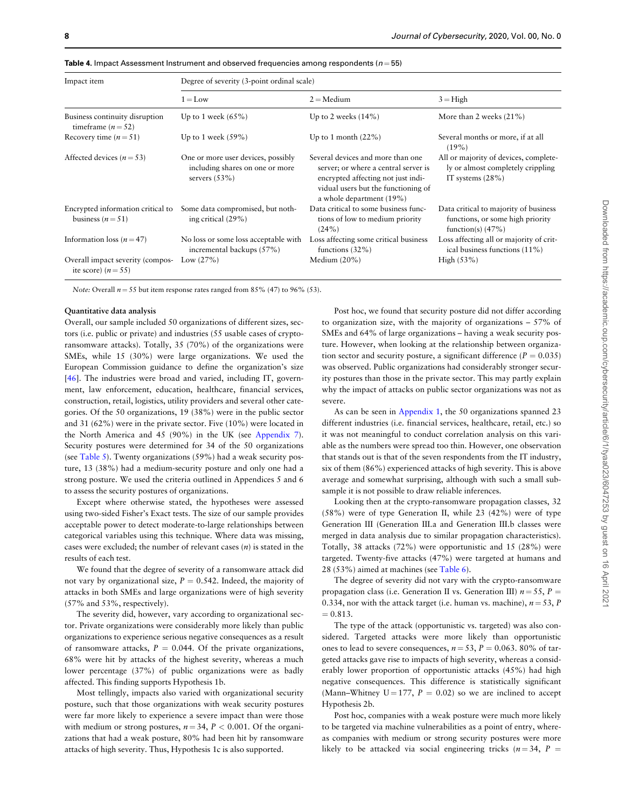| Impact item                                                 | Degree of severity (3-point ordinal scale)                                               |                                                                                                                                                                                    |                                                                                                  |  |
|-------------------------------------------------------------|------------------------------------------------------------------------------------------|------------------------------------------------------------------------------------------------------------------------------------------------------------------------------------|--------------------------------------------------------------------------------------------------|--|
|                                                             | $1 = Low$                                                                                | $2 =$ Medium                                                                                                                                                                       | $3 =$ High                                                                                       |  |
| Business continuity disruption<br>timeframe $(n=52)$        | Up to 1 week $(65\%)$                                                                    | Up to 2 weeks $(14\%)$                                                                                                                                                             | More than 2 weeks $(21\%)$                                                                       |  |
| Recovery time $(n = 51)$                                    | Up to 1 week $(59\%)$                                                                    | Up to 1 month $(22\%)$                                                                                                                                                             | Several months or more, if at all<br>$(19\%)$                                                    |  |
| Affected devices ( $n = 53$ )                               | One or more user devices, possibly<br>including shares on one or more<br>servers $(53%)$ | Several devices and more than one<br>server; or where a central server is<br>encrypted affecting not just indi-<br>vidual users but the functioning of<br>a whole department (19%) | All or majority of devices, complete-<br>ly or almost completely crippling<br>IT systems $(28%)$ |  |
| Encrypted information critical to<br>business $(n=51)$      | Some data compromised, but noth-<br>ing critical (29%)                                   | Data critical to some business func-<br>tions of low to medium priority<br>(24%)                                                                                                   | Data critical to majority of business<br>functions, or some high priority<br>function(s) $(47%)$ |  |
| Information loss ( $n = 47$ )                               | No loss or some loss acceptable with<br>incremental backups (57%)                        | Loss affecting some critical business<br>functions $(32\%)$                                                                                                                        | Loss affecting all or majority of crit-<br>ical business functions (11%)                         |  |
| Overall impact severity (compos-<br>ite score) ( $n = 55$ ) | Low $(27%)$                                                                              | Medium $(20\%)$                                                                                                                                                                    | High $(53%)$                                                                                     |  |

<span id="page-7-0"></span>**Table 4.** Impact Assessment Instrument and observed frequencies among respondents ( $n = 55$ )

Note: Overall  $n = 55$  but item response rates ranged from 85% (47) to 96% (53).

### Quantitative data analysis

Overall, our sample included 50 organizations of different sizes, sectors (i.e. public or private) and industries (55 usable cases of cryptoransomware attacks). Totally, 35 (70%) of the organizations were SMEs, while 15 (30%) were large organizations. We used the European Commission guidance to define the organization's size [[46\]](#page-13-0). The industries were broad and varied, including IT, government, law enforcement, education, healthcare, financial services, construction, retail, logistics, utility providers and several other categories. Of the 50 organizations, 19 (38%) were in the public sector and 31 (62%) were in the private sector. Five (10%) were located in the North America and 45 (90%) in the UK (see Appendix 7). Security postures were determined for 34 of the 50 organizations (see [Table 5](#page-8-0)). Twenty organizations (59%) had a weak security posture, 13 (38%) had a medium-security posture and only one had a strong posture. We used the criteria outlined in Appendices 5 and 6 to assess the security postures of organizations.

Except where otherwise stated, the hypotheses were assessed using two-sided Fisher's Exact tests. The size of our sample provides acceptable power to detect moderate-to-large relationships between categorical variables using this technique. Where data was missing, cases were excluded; the number of relevant cases  $(n)$  is stated in the results of each test.

We found that the degree of severity of a ransomware attack did not vary by organizational size,  $P = 0.542$ . Indeed, the majority of attacks in both SMEs and large organizations were of high severity (57% and 53%, respectively).

The severity did, however, vary according to organizational sector. Private organizations were considerably more likely than public organizations to experience serious negative consequences as a result of ransomware attacks,  $P = 0.044$ . Of the private organizations, 68% were hit by attacks of the highest severity, whereas a much lower percentage (37%) of public organizations were as badly affected. This finding supports Hypothesis 1b.

Most tellingly, impacts also varied with organizational security posture, such that those organizations with weak security postures were far more likely to experience a severe impact than were those with medium or strong postures,  $n = 34$ ,  $P < 0.001$ . Of the organizations that had a weak posture, 80% had been hit by ransomware attacks of high severity. Thus, Hypothesis 1c is also supported.

Post hoc, we found that security posture did not differ according to organization size, with the majority of organizations – 57% of SMEs and 64% of large organizations – having a weak security posture. However, when looking at the relationship between organization sector and security posture, a significant difference ( $P = 0.035$ ) was observed. Public organizations had considerably stronger security postures than those in the private sector. This may partly explain why the impact of attacks on public sector organizations was not as severe.

As can be seen in Appendix 1, the 50 organizations spanned 23 different industries (i.e. financial services, healthcare, retail, etc.) so it was not meaningful to conduct correlation analysis on this variable as the numbers were spread too thin. However, one observation that stands out is that of the seven respondents from the IT industry, six of them (86%) experienced attacks of high severity. This is above average and somewhat surprising, although with such a small subsample it is not possible to draw reliable inferences.

Looking then at the crypto-ransomware propagation classes, 32 (58%) were of type Generation II, while 23 (42%) were of type Generation III (Generation III.a and Generation III.b classes were merged in data analysis due to similar propagation characteristics). Totally, 38 attacks (72%) were opportunistic and 15 (28%) were targeted. Twenty-five attacks (47%) were targeted at humans and 28 (53%) aimed at machines (see [Table 6](#page-8-0)).

The degree of severity did not vary with the crypto-ransomware propagation class (i.e. Generation II vs. Generation III)  $n = 55$ ,  $P =$ 0.334, nor with the attack target (i.e. human vs. machine),  $n = 53$ , P  $= 0.813.$ 

The type of the attack (opportunistic vs. targeted) was also considered. Targeted attacks were more likely than opportunistic ones to lead to severe consequences,  $n = 53$ ,  $P = 0.063$ . 80% of targeted attacks gave rise to impacts of high severity, whereas a considerably lower proportion of opportunistic attacks (45%) had high negative consequences. This difference is statistically significant (Mann–Whitney  $U = 177$ ,  $P = 0.02$ ) so we are inclined to accept Hypothesis 2b.

Post hoc, companies with a weak posture were much more likely to be targeted via machine vulnerabilities as a point of entry, whereas companies with medium or strong security postures were more likely to be attacked via social engineering tricks ( $n = 34$ ,  $P =$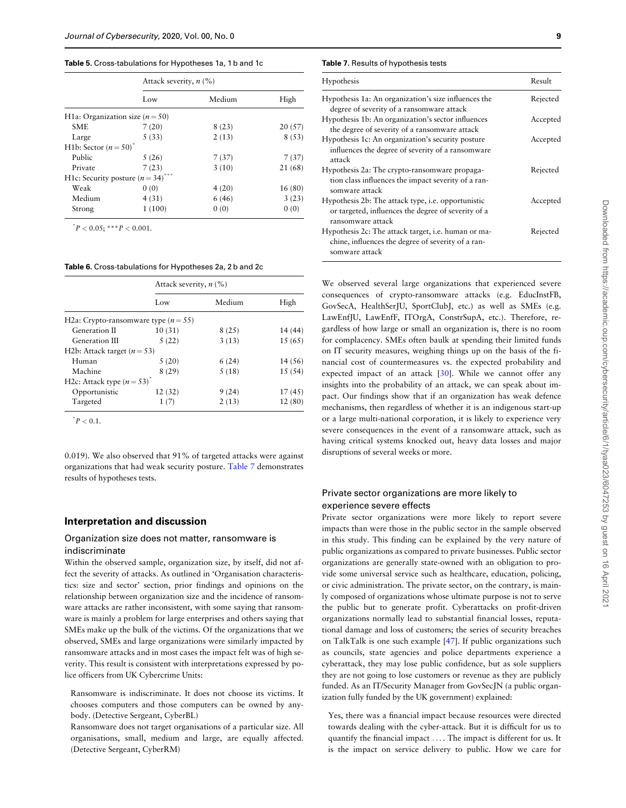#### <span id="page-8-0"></span>Table 5. Cross-tabulations for Hypotheses 1a, 1 b and 1c

|                                                  | Attack severity, $n$ (%) |        |         |
|--------------------------------------------------|--------------------------|--------|---------|
|                                                  | Low                      | Medium | High    |
| H <sub>1</sub> a: Organization size ( $n = 50$ ) |                          |        |         |
| <b>SME</b>                                       | 7(20)                    | 8(23)  | 20(57)  |
| Large                                            | 5(33)                    | 2(13)  | 8(53)   |
| H <sub>1</sub> b: Sector $(n=50)^{n}$            |                          |        |         |
| Public                                           | 5(26)                    | 7(37)  | 7(37)   |
| Private                                          | 7(23)                    | 3(10)  | 21 (68) |
| H1c: Security posture $(n=34)$                   | No No No                 |        |         |
| Weak                                             | 0(0)                     | 4(20)  | 16 (80) |
| Medium                                           | 4(31)                    | 6(46)  | 3(23)   |
| Strong                                           | 1(100)                   | 0(0)   | 0(0)    |

 $P < 0.05$ ; \*\*\* $P < 0.001$ .

#### Table 6. Cross-tabulations for Hypotheses 2a, 2 b and 2c

|                                          | Attack severity, $n$ (%) |        |         |
|------------------------------------------|--------------------------|--------|---------|
|                                          | Low                      | Medium | High    |
| H2a: Crypto-ransomware type ( $n = 55$ ) |                          |        |         |
| Generation II                            | 10(31)                   | 8(25)  | 14 (44) |
| Generation III                           | 5(22)                    | 3(13)  | 15 (65) |
| H2b: Attack target $(n=53)$              |                          |        |         |
| Human                                    | 5(20)                    | 6(24)  | 14 (56) |
| Machine                                  | 8(29)                    | 5(18)  | 15(54)  |
| H2c: Attack type $(n=53)^{n}$            |                          |        |         |
| Opportunistic                            | 12(32)                   | 9(24)  | 17(45)  |
| Targeted                                 | 1(7)                     | 2(13)  | 12(80)  |

 $^*P < 0.1$ .

0.019). We also observed that 91% of targeted attacks were against organizations that had weak security posture. Table 7 demonstrates results of hypotheses tests.

## Interpretation and discussion

## Organization size does not matter, ransomware is indiscriminate

Within the observed sample, organization size, by itself, did not affect the severity of attacks. As outlined in 'Organisation characteristics: size and sector' section, prior findings and opinions on the relationship between organization size and the incidence of ransomware attacks are rather inconsistent, with some saying that ransomware is mainly a problem for large enterprises and others saying that SMEs make up the bulk of the victims. Of the organizations that we observed, SMEs and large organizations were similarly impacted by ransomware attacks and in most cases the impact felt was of high severity. This result is consistent with interpretations expressed by police officers from UK Cybercrime Units:

Ransomware is indiscriminate. It does not choose its victims. It chooses computers and those computers can be owned by anybody. (Detective Sergeant, CyberBL)

Ransomware does not target organisations of a particular size. All organisations, small, medium and large, are equally affected. (Detective Sergeant, CyberRM)

#### Table 7. Results of hypothesis tests

| Hypothesis                                                                                                                     | Result   |
|--------------------------------------------------------------------------------------------------------------------------------|----------|
| Hypothesis 1a: An organization's size influences the<br>degree of severity of a ransomware attack                              | Rejected |
| Hypothesis 1b: An organization's sector influences<br>the degree of severity of a ransomware attack                            | Accepted |
| Hypothesis 1c: An organization's security posture<br>influences the degree of severity of a ransomware<br>attack               | Accepted |
| Hypothesis 2a: The crypto-ransomware propaga-<br>tion class influences the impact severity of a ran-<br>somware attack         | Rejected |
| Hypothesis 2b: The attack type, i.e. opportunistic<br>or targeted, influences the degree of severity of a<br>ransomware attack | Accepted |
| Hypothesis 2c: The attack target, i.e. human or ma-<br>chine, influences the degree of severity of a ran-<br>somware attack    | Rejected |

We observed several large organizations that experienced severe consequences of crypto-ransomware attacks (e.g. EducInstFB, GovSecA, HealthSerJU, SportClubJ, etc.) as well as SMEs (e.g. LawEnfJU, LawEnfF, ITOrgA, ConstrSupA, etc.). Therefore, regardless of how large or small an organization is, there is no room for complacency. SMEs often baulk at spending their limited funds on IT security measures, weighing things up on the basis of the financial cost of countermeasures vs. the expected probability and expected impact of an attack [[30](#page-13-0)]. While we cannot offer any insights into the probability of an attack, we can speak about impact. Our findings show that if an organization has weak defence mechanisms, then regardless of whether it is an indigenous start-up or a large multi-national corporation, it is likely to experience very severe consequences in the event of a ransomware attack, such as having critical systems knocked out, heavy data losses and major disruptions of several weeks or more.

## Private sector organizations are more likely to experience severe effects

Private sector organizations were more likely to report severe impacts than were those in the public sector in the sample observed in this study. This finding can be explained by the very nature of public organizations as compared to private businesses. Public sector organizations are generally state-owned with an obligation to provide some universal service such as healthcare, education, policing, or civic administration. The private sector, on the contrary, is mainly composed of organizations whose ultimate purpose is not to serve the public but to generate profit. Cyberattacks on profit-driven organizations normally lead to substantial financial losses, reputational damage and loss of customers; the series of security breaches on TalkTalk is one such example [\[47](#page-13-0)]. If public organizations such as councils, state agencies and police departments experience a cyberattack, they may lose public confidence, but as sole suppliers they are not going to lose customers or revenue as they are publicly funded. As an IT/Security Manager from GovSecJN (a public organization fully funded by the UK government) explained:

Yes, there was a financial impact because resources were directed towards dealing with the cyber-attack. But it is difficult for us to quantify the financial impact ... . The impact is different for us. It is the impact on service delivery to public. How we care for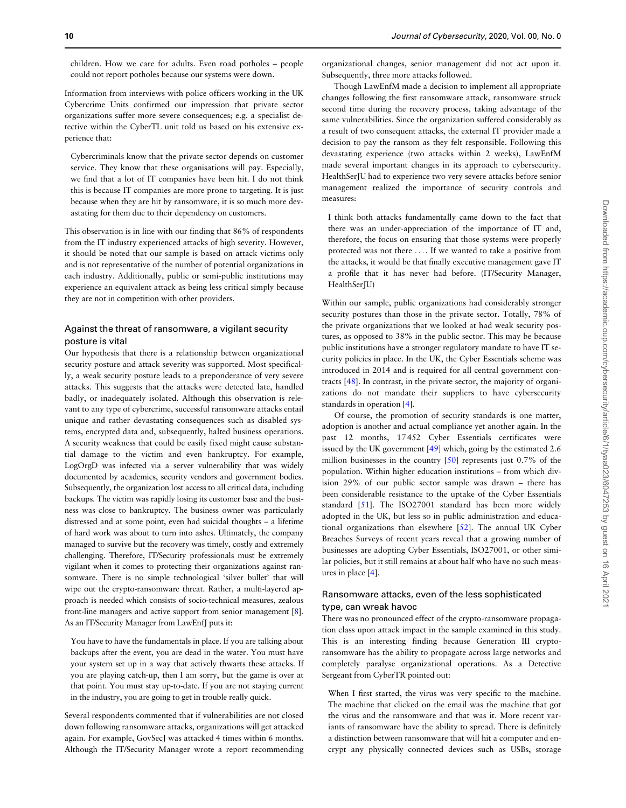<span id="page-9-0"></span>children. How we care for adults. Even road potholes – people could not report potholes because our systems were down.

Information from interviews with police officers working in the UK Cybercrime Units confirmed our impression that private sector organizations suffer more severe consequences; e.g. a specialist detective within the CyberTL unit told us based on his extensive experience that:

Cybercriminals know that the private sector depends on customer service. They know that these organisations will pay. Especially, we find that a lot of IT companies have been hit. I do not think this is because IT companies are more prone to targeting. It is just because when they are hit by ransomware, it is so much more devastating for them due to their dependency on customers.

This observation is in line with our finding that 86% of respondents from the IT industry experienced attacks of high severity. However, it should be noted that our sample is based on attack victims only and is not representative of the number of potential organizations in each industry. Additionally, public or semi-public institutions may experience an equivalent attack as being less critical simply because they are not in competition with other providers.

## Against the threat of ransomware, a vigilant security posture is vital

Our hypothesis that there is a relationship between organizational security posture and attack severity was supported. Most specifically, a weak security posture leads to a preponderance of very severe attacks. This suggests that the attacks were detected late, handled badly, or inadequately isolated. Although this observation is relevant to any type of cybercrime, successful ransomware attacks entail unique and rather devastating consequences such as disabled systems, encrypted data and, subsequently, halted business operations. A security weakness that could be easily fixed might cause substantial damage to the victim and even bankruptcy. For example, LogOrgD was infected via a server vulnerability that was widely documented by academics, security vendors and government bodies. Subsequently, the organization lost access to all critical data, including backups. The victim was rapidly losing its customer base and the business was close to bankruptcy. The business owner was particularly distressed and at some point, even had suicidal thoughts – a lifetime of hard work was about to turn into ashes. Ultimately, the company managed to survive but the recovery was timely, costly and extremely challenging. Therefore, IT/Security professionals must be extremely vigilant when it comes to protecting their organizations against ransomware. There is no simple technological 'silver bullet' that will wipe out the crypto-ransomware threat. Rather, a multi-layered approach is needed which consists of socio-technical measures, zealous front-line managers and active support from senior management [\[8](#page-12-0)]. As an IT/Security Manager from LawEnfJ puts it:

You have to have the fundamentals in place. If you are talking about backups after the event, you are dead in the water. You must have your system set up in a way that actively thwarts these attacks. If you are playing catch-up, then I am sorry, but the game is over at that point. You must stay up-to-date. If you are not staying current in the industry, you are going to get in trouble really quick.

Several respondents commented that if vulnerabilities are not closed down following ransomware attacks, organizations will get attacked again. For example, GovSecJ was attacked 4 times within 6 months. Although the IT/Security Manager wrote a report recommending organizational changes, senior management did not act upon it. Subsequently, three more attacks followed.

Though LawEnfM made a decision to implement all appropriate changes following the first ransomware attack, ransomware struck second time during the recovery process, taking advantage of the same vulnerabilities. Since the organization suffered considerably as a result of two consequent attacks, the external IT provider made a decision to pay the ransom as they felt responsible. Following this devastating experience (two attacks within 2 weeks), LawEnfM made several important changes in its approach to cybersecurity. HealthSerJU had to experience two very severe attacks before senior management realized the importance of security controls and measures:

I think both attacks fundamentally came down to the fact that there was an under-appreciation of the importance of IT and, therefore, the focus on ensuring that those systems were properly protected was not there ... . If we wanted to take a positive from the attacks, it would be that finally executive management gave IT a profile that it has never had before. (IT/Security Manager, HealthSerJU)

Within our sample, public organizations had considerably stronger security postures than those in the private sector. Totally, 78% of the private organizations that we looked at had weak security postures, as opposed to 38% in the public sector. This may be because public institutions have a stronger regulatory mandate to have IT security policies in place. In the UK, the Cyber Essentials scheme was introduced in 2014 and is required for all central government contracts [\[48\]](#page-13-0). In contrast, in the private sector, the majority of organizations do not mandate their suppliers to have cybersecurity standards in operation [[4](#page-12-0)].

Of course, the promotion of security standards is one matter, adoption is another and actual compliance yet another again. In the past 12 months, 17 452 Cyber Essentials certificates were issued by the UK government [\[49\]](#page-13-0) which, going by the estimated 2.6 million businesses in the country [\[50](#page-13-0)] represents just 0.7% of the population. Within higher education institutions – from which division 29% of our public sector sample was drawn – there has been considerable resistance to the uptake of the Cyber Essentials standard [[51\]](#page-13-0). The ISO27001 standard has been more widely adopted in the UK, but less so in public administration and educational organizations than elsewhere [[52\]](#page-13-0). The annual UK Cyber Breaches Surveys of recent years reveal that a growing number of businesses are adopting Cyber Essentials, ISO27001, or other similar policies, but it still remains at about half who have no such measures in place [\[4\]](#page-12-0).

## Ransomware attacks, even of the less sophisticated type, can wreak havoc

There was no pronounced effect of the crypto-ransomware propagation class upon attack impact in the sample examined in this study. This is an interesting finding because Generation III cryptoransomware has the ability to propagate across large networks and completely paralyse organizational operations. As a Detective Sergeant from CyberTR pointed out:

When I first started, the virus was very specific to the machine. The machine that clicked on the email was the machine that got the virus and the ransomware and that was it. More recent variants of ransomware have the ability to spread. There is definitely a distinction between ransomware that will hit a computer and encrypt any physically connected devices such as USBs, storage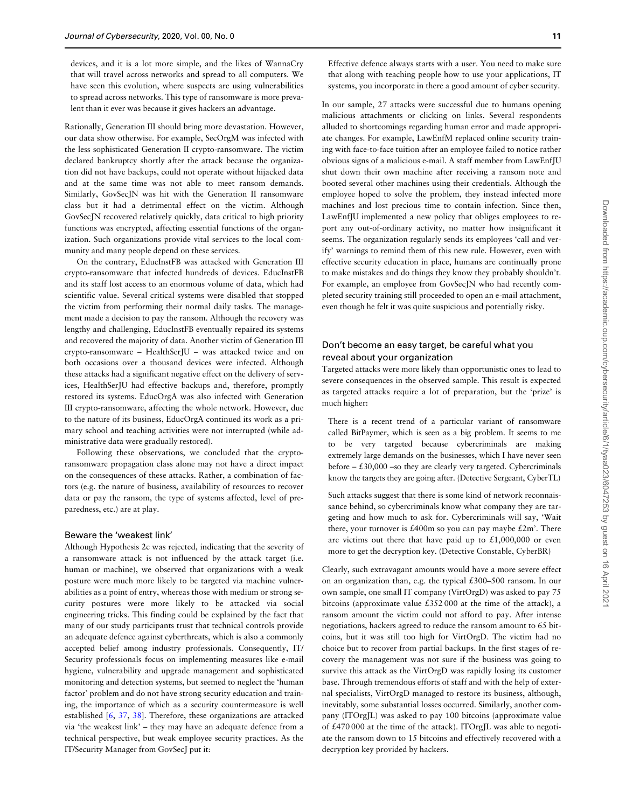devices, and it is a lot more simple, and the likes of WannaCry that will travel across networks and spread to all computers. We have seen this evolution, where suspects are using vulnerabilities to spread across networks. This type of ransomware is more prevalent than it ever was because it gives hackers an advantage.

Rationally, Generation III should bring more devastation. However, our data show otherwise. For example, SecOrgM was infected with the less sophisticated Generation II crypto-ransomware. The victim declared bankruptcy shortly after the attack because the organization did not have backups, could not operate without hijacked data and at the same time was not able to meet ransom demands. Similarly, GovSecJN was hit with the Generation II ransomware class but it had a detrimental effect on the victim. Although GovSecJN recovered relatively quickly, data critical to high priority functions was encrypted, affecting essential functions of the organization. Such organizations provide vital services to the local community and many people depend on these services.

On the contrary, EducInstFB was attacked with Generation III crypto-ransomware that infected hundreds of devices. EducInstFB and its staff lost access to an enormous volume of data, which had scientific value. Several critical systems were disabled that stopped the victim from performing their normal daily tasks. The management made a decision to pay the ransom. Although the recovery was lengthy and challenging, EducInstFB eventually repaired its systems and recovered the majority of data. Another victim of Generation III crypto-ransomware – HealthSerJU – was attacked twice and on both occasions over a thousand devices were infected. Although these attacks had a significant negative effect on the delivery of services, HealthSerJU had effective backups and, therefore, promptly restored its systems. EducOrgA was also infected with Generation III crypto-ransomware, affecting the whole network. However, due to the nature of its business, EducOrgA continued its work as a primary school and teaching activities were not interrupted (while administrative data were gradually restored).

Following these observations, we concluded that the cryptoransomware propagation class alone may not have a direct impact on the consequences of these attacks. Rather, a combination of factors (e.g. the nature of business, availability of resources to recover data or pay the ransom, the type of systems affected, level of preparedness, etc.) are at play.

#### Beware the 'weakest link'

Although Hypothesis 2c was rejected, indicating that the severity of a ransomware attack is not influenced by the attack target (i.e. human or machine), we observed that organizations with a weak posture were much more likely to be targeted via machine vulnerabilities as a point of entry, whereas those with medium or strong security postures were more likely to be attacked via social engineering tricks. This finding could be explained by the fact that many of our study participants trust that technical controls provide an adequate defence against cyberthreats, which is also a commonly accepted belief among industry professionals. Consequently, IT/ Security professionals focus on implementing measures like e-mail hygiene, vulnerability and upgrade management and sophisticated monitoring and detection systems, but seemed to neglect the 'human factor' problem and do not have strong security education and training, the importance of which as a security countermeasure is well established [\[6,](#page-12-0) [37,](#page-13-0) [38\]](#page-13-0). Therefore, these organizations are attacked via 'the weakest link' – they may have an adequate defence from a technical perspective, but weak employee security practices. As the IT/Security Manager from GovSecJ put it:

Effective defence always starts with a user. You need to make sure that along with teaching people how to use your applications, IT systems, you incorporate in there a good amount of cyber security.

In our sample, 27 attacks were successful due to humans opening malicious attachments or clicking on links. Several respondents alluded to shortcomings regarding human error and made appropriate changes. For example, LawEnfM replaced online security training with face-to-face tuition after an employee failed to notice rather obvious signs of a malicious e-mail. A staff member from LawEnfJU shut down their own machine after receiving a ransom note and booted several other machines using their credentials. Although the employee hoped to solve the problem, they instead infected more machines and lost precious time to contain infection. Since then, LawEnfJU implemented a new policy that obliges employees to report any out-of-ordinary activity, no matter how insignificant it seems. The organization regularly sends its employees 'call and verify' warnings to remind them of this new rule. However, even with effective security education in place, humans are continually prone to make mistakes and do things they know they probably shouldn't. For example, an employee from GovSecJN who had recently completed security training still proceeded to open an e-mail attachment, even though he felt it was quite suspicious and potentially risky.

## Don't become an easy target, be careful what you reveal about your organization

Targeted attacks were more likely than opportunistic ones to lead to severe consequences in the observed sample. This result is expected as targeted attacks require a lot of preparation, but the 'prize' is much higher:

There is a recent trend of a particular variant of ransomware called BitPaymer, which is seen as a big problem. It seems to me to be very targeted because cybercriminals are making extremely large demands on the businesses, which I have never seen before  $-$  £30,000 –so they are clearly very targeted. Cybercriminals know the targets they are going after. (Detective Sergeant, CyberTL)

Such attacks suggest that there is some kind of network reconnaissance behind, so cybercriminals know what company they are targeting and how much to ask for. Cybercriminals will say, 'Wait there, your turnover is £400m so you can pay maybe £2m'. There are victims out there that have paid up to  $£1,000,000$  or even more to get the decryption key. (Detective Constable, CyberBR)

Clearly, such extravagant amounts would have a more severe effect on an organization than, e.g. the typical £300–500 ransom. In our own sample, one small IT company (VirtOrgD) was asked to pay 75 bitcoins (approximate value £352 000 at the time of the attack), a ransom amount the victim could not afford to pay. After intense negotiations, hackers agreed to reduce the ransom amount to 65 bitcoins, but it was still too high for VirtOrgD. The victim had no choice but to recover from partial backups. In the first stages of recovery the management was not sure if the business was going to survive this attack as the VirtOrgD was rapidly losing its customer base. Through tremendous efforts of staff and with the help of external specialists, VirtOrgD managed to restore its business, although, inevitably, some substantial losses occurred. Similarly, another company (ITOrgJL) was asked to pay 100 bitcoins (approximate value of £470 000 at the time of the attack). ITOrgJL was able to negotiate the ransom down to 15 bitcoins and effectively recovered with a decryption key provided by hackers.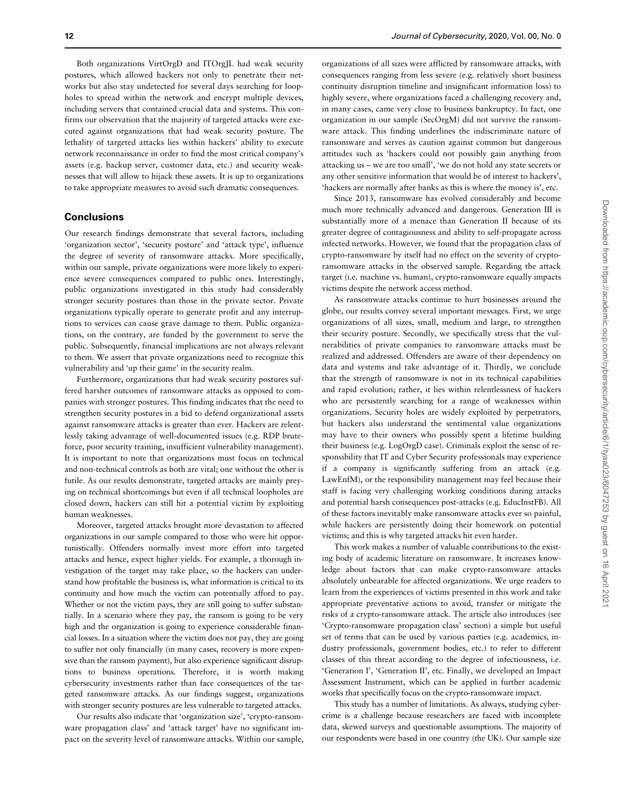Both organizations VirtOrgD and ITOrgJL had weak security postures, which allowed hackers not only to penetrate their networks but also stay undetected for several days searching for loopholes to spread within the network and encrypt multiple devices, including servers that contained crucial data and systems. This confirms our observation that the majority of targeted attacks were executed against organizations that had weak security posture. The lethality of targeted attacks lies within hackers' ability to execute network reconnaissance in order to find the most critical company's assets (e.g. backup server, customer data, etc.) and security weaknesses that will allow to hijack these assets. It is up to organizations to take appropriate measures to avoid such dramatic consequences.

## **Conclusions**

Our research findings demonstrate that several factors, including 'organization sector', 'security posture' and 'attack type', influence the degree of severity of ransomware attacks. More specifically, within our sample, private organizations were more likely to experience severe consequences compared to public ones. Interestingly, public organizations investigated in this study had considerably stronger security postures than those in the private sector. Private organizations typically operate to generate profit and any interruptions to services can cause grave damage to them. Public organizations, on the contrary, are funded by the government to serve the public. Subsequently, financial implications are not always relevant to them. We assert that private organizations need to recognize this vulnerability and 'up their game' in the security realm.

Furthermore, organizations that had weak security postures suffered harsher outcomes of ransomware attacks as opposed to companies with stronger postures. This finding indicates that the need to strengthen security postures in a bid to defend organizational assets against ransomware attacks is greater than ever. Hackers are relentlessly taking advantage of well-documented issues (e.g. RDP bruteforce, poor security training, insufficient vulnerability management). It is important to note that organizations must focus on technical and non-technical controls as both are vital; one without the other is futile. As our results demonstrate, targeted attacks are mainly preying on technical shortcomings but even if all technical loopholes are closed down, hackers can still hit a potential victim by exploiting human weaknesses.

Moreover, targeted attacks brought more devastation to affected organizations in our sample compared to those who were hit opportunistically. Offenders normally invest more effort into targeted attacks and hence, expect higher yields. For example, a thorough investigation of the target may take place, so the hackers can understand how profitable the business is, what information is critical to its continuity and how much the victim can potentially afford to pay. Whether or not the victim pays, they are still going to suffer substantially. In a scenario where they pay, the ransom is going to be very high and the organization is going to experience considerable financial losses. In a situation where the victim does not pay, they are going to suffer not only financially (in many cases, recovery is more expensive than the ransom payment), but also experience significant disruptions to business operations. Therefore, it is worth making cybersecurity investments rather than face consequences of the targeted ransomware attacks. As our findings suggest, organizations with stronger security postures are less vulnerable to targeted attacks.

Our results also indicate that 'organization size', 'crypto-ransomware propagation class' and 'attack target' have no significant impact on the severity level of ransomware attacks. Within our sample,

organizations of all sizes were afflicted by ransomware attacks, with consequences ranging from less severe (e.g. relatively short business continuity disruption timeline and insignificant information loss) to highly severe, where organizations faced a challenging recovery and, in many cases, came very close to business bankruptcy. In fact, one organization in our sample (SecOrgM) did not survive the ransomware attack. This finding underlines the indiscriminate nature of ransomware and serves as caution against common but dangerous attitudes such as 'hackers could not possibly gain anything from attacking us – we are too small', 'we do not hold any state secrets or any other sensitive information that would be of interest to hackers', 'hackers are normally after banks as this is where the money is', etc.

Since 2013, ransomware has evolved considerably and become much more technically advanced and dangerous. Generation III is substantially more of a menace than Generation II because of its greater degree of contagiousness and ability to self-propagate across infected networks. However, we found that the propagation class of crypto-ransomware by itself had no effect on the severity of cryptoransomware attacks in the observed sample. Regarding the attack target (i.e. machine vs. human), crypto-ransomware equally impacts victims despite the network access method.

As ransomware attacks continue to hurt businesses around the globe, our results convey several important messages. First, we urge organizations of all sizes, small, medium and large, to strengthen their security posture. Secondly, we specifically stress that the vulnerabilities of private companies to ransomware attacks must be realized and addressed. Offenders are aware of their dependency on data and systems and take advantage of it. Thirdly, we conclude that the strength of ransomware is not in its technical capabilities and rapid evolution; rather, it lies within relentlessness of hackers who are persistently searching for a range of weaknesses within organizations. Security holes are widely exploited by perpetrators, but hackers also understand the sentimental value organizations may have to their owners who possibly spent a lifetime building their business (e.g. LogOrgD case). Criminals exploit the sense of responsibility that IT and Cyber Security professionals may experience if a company is significantly suffering from an attack (e.g. LawEnfM), or the responsibility management may feel because their staff is facing very challenging working conditions during attacks and potential harsh consequences post-attacks (e.g. EducInstFB). All of these factors inevitably make ransomware attacks ever so painful, while hackers are persistently doing their homework on potential victims; and this is why targeted attacks hit even harder.

This work makes a number of valuable contributions to the existing body of academic literature on ransomware. It increases knowledge about factors that can make crypto-ransomware attacks absolutely unbearable for affected organizations. We urge readers to learn from the experiences of victims presented in this work and take appropriate preventative actions to avoid, transfer or mitigate the risks of a crypto-ransomware attack. The article also introduces (see 'Crypto-ransomware propagation class' section) a simple but useful set of terms that can be used by various parties (e.g. academics, industry professionals, government bodies, etc.) to refer to different classes of this threat according to the degree of infectiousness, i.e. 'Generation I', 'Generation II', etc. Finally, we developed an Impact Assessment Instrument, which can be applied in further academic works that specifically focus on the crypto-ransomware impact.

This study has a number of limitations. As always, studying cybercrime is a challenge because researchers are faced with incomplete data, skewed surveys and questionable assumptions. The majority of our respondents were based in one country (the UK). Our sample size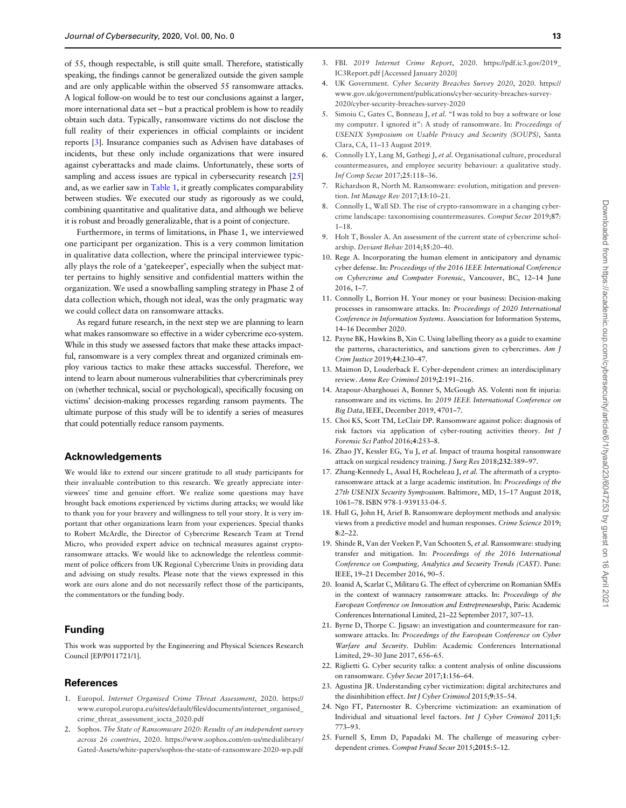<span id="page-12-0"></span>of 55, though respectable, is still quite small. Therefore, statistically speaking, the findings cannot be generalized outside the given sample and are only applicable within the observed 55 ransomware attacks. A logical follow-on would be to test our conclusions against a larger, more international data set – but a practical problem is how to readily obtain such data. Typically, ransomware victims do not disclose the full reality of their experiences in official complaints or incident reports [3]. Insurance companies such as Advisen have databases of incidents, but these only include organizations that were insured against cyberattacks and made claims. Unfortunately, these sorts of sampling and access issues are typical in cybersecurity research [25] and, as we earlier saw in [Table 1](#page-1-0), it greatly complicates comparability between studies. We executed our study as rigorously as we could, combining quantitative and qualitative data, and although we believe it is robust and broadly generalizable, that is a point of conjecture.

Furthermore, in terms of limitations, in Phase 1, we interviewed one participant per organization. This is a very common limitation in qualitative data collection, where the principal interviewee typically plays the role of a 'gatekeeper', especially when the subject matter pertains to highly sensitive and confidential matters within the organization. We used a snowballing sampling strategy in Phase 2 of data collection which, though not ideal, was the only pragmatic way we could collect data on ransomware attacks.

As regard future research, in the next step we are planning to learn what makes ransomware so effective in a wider cybercrime eco-system. While in this study we assessed factors that make these attacks impactful, ransomware is a very complex threat and organized criminals employ various tactics to make these attacks successful. Therefore, we intend to learn about numerous vulnerabilities that cybercriminals prey on (whether technical, social or psychological), specifically focusing on victims' decision-making processes regarding ransom payments. The ultimate purpose of this study will be to identify a series of measures that could potentially reduce ransom payments.

## Acknowledgements

We would like to extend our sincere gratitude to all study participants for their invaluable contribution to this research. We greatly appreciate interviewees' time and genuine effort. We realize some questions may have brought back emotions experienced by victims during attacks; we would like to thank you for your bravery and willingness to tell your story. It is very important that other organizations learn from your experiences. Special thanks to Robert McArdle, the Director of Cybercrime Research Team at Trend Micro, who provided expert advice on technical measures against cryptoransomware attacks. We would like to acknowledge the relentless commitment of police officers from UK Regional Cybercrime Units in providing data and advising on study results. Please note that the views expressed in this work are ours alone and do not necessarily reflect those of the participants, the commentators or the funding body.

## Funding

This work was supported by the Engineering and Physical Sciences Research Council [EP/P011721/1].

## References

- [1](#page-0-0). Europol. Internet Organised Crime Threat Assessment, 2020. [https://](https://www.europol.europa.eu/sites/default/files/documents/internet_organised_crime_threat_assessment_iocta_2020.pdf) [www.europol.europa.eu/sites/default/files/documents/internet\\_organised\\_](https://www.europol.europa.eu/sites/default/files/documents/internet_organised_crime_threat_assessment_iocta_2020.pdf) [crime\\_threat\\_assessment\\_iocta\\_2020.pdf](https://www.europol.europa.eu/sites/default/files/documents/internet_organised_crime_threat_assessment_iocta_2020.pdf)
- [2](#page-0-0). Sophos. The State of Ransomware 2020: Results of an independent survey across 26 countries, 2020. [https://www.sophos.com/en-us/medialibrary/](https://www.sophos.com/en-us/medialibrary/Gated-Assets/white-papers/sophos-the-state-of-ransomware-2020-wp.pdf) [Gated-Assets/white-papers/sophos-the-state-of-ransomware-2020-wp.pdf](https://www.sophos.com/en-us/medialibrary/Gated-Assets/white-papers/sophos-the-state-of-ransomware-2020-wp.pdf)
- [3](#page-0-0). FBI. 2019 Internet Crime Report, 2020. [https://pdf.ic3.gov/2019\\_](https://pdf.ic3.gov/2019_IC3Report.pdf) [IC3Report.pdf \[Accessed January 2020\]](https://pdf.ic3.gov/2019_IC3Report.pdf)
- [4](#page-0-0). UK Government. Cyber Security Breaches Survey 2020, 2020. [https://](https://www.gov.uk/government/publications/cyber-security-breaches-survey-2020/cyber-security-breaches-survey-2020) [www.gov.uk/government/publications/cyber-security-breaches-survey-](https://www.gov.uk/government/publications/cyber-security-breaches-survey-2020/cyber-security-breaches-survey-2020)[2020/cyber-security-breaches-survey-2020](https://www.gov.uk/government/publications/cyber-security-breaches-survey-2020/cyber-security-breaches-survey-2020)
- [5](#page-0-0). Simoiu C, Gates C, Bonneau J, et al. "I was told to buy a software or lose my computer. I ignored it": A study of ransomware. In: Proceedings of USENIX Symposium on Usable Privacy and Security (SOUPS), Santa Clara, CA, 11–13 August 2019.
- [6](#page-0-0). Connolly LY, Lang M, Gathegi J, et al. Organisational culture, procedural countermeasures, and employee security behaviour: a qualitative study. Inf Comp Secur 2017;25:118–36.
- [7](#page-0-0). Richardson R, North M. Ransomware: evolution, mitigation and prevention. Int Manage Rev 2017;13:10–21.
- [8](#page-1-0). Connolly L, Wall SD. The rise of crypto-ransomware in a changing cybercrime landscape: taxonomising countermeasures. Comput Secur 2019;87:  $1 - 18$
- [9](#page-1-0). Holt T, Bossler A. An assessment of the current state of cybercrime scholarship. Deviant Behav 2014;35:20–40.
- [10.](#page-1-0) Rege A. Incorporating the human element in anticipatory and dynamic cyber defense. In: Proceedings of the 2016 IEEE International Conference on Cybercrime and Computer Forensic, Vancouver, BC, 12–14 June 2016, 1–7.
- [11.](#page-1-0) Connolly L, Borrion H. Your money or your business: Decision-making processes in ransomware attacks. In: Proceedings of 2020 International Conference in Information Systems. Association for Information Systems, 14–16 December 2020.
- [12.](#page-1-0) Payne BK, Hawkins B, Xin C. Using labelling theory as a guide to examine the patterns, characteristics, and sanctions given to cybercrimes. Am J Crim Justice 2019;44:230–47.
- [13.](#page-1-0) Maimon D, Louderback E. Cyber-dependent crimes: an interdisciplinary review. Annu Rev Criminol 2019;2:191–216.
- [14.](#page-1-0) Atapour-Abarghouei A, Bonner S, McGough AS. Volenti non fit injuria: ransomware and its victims. In: 2019 IEEE International Conference on Big Data, IEEE, December 2019, 4701–7.
- [15.](#page-1-0) Choi KS, Scott TM, LeClair DP. Ransomware against police: diagnosis of risk factors via application of cyber-routing activities theory. Int J Forensic Sci Pathol 2016;4:253–8.
- [16.](#page-1-0) Zhao JY, Kessler EG, Yu J, et al. Impact of trauma hospital ransomware attack on surgical residency training. J Surg Res 2018;232:389–97.
- [17.](#page-1-0) Zhang-Kennedy L, Assal H, Rocheleau J, et al. The aftermath of a cryptoransomware attack at a large academic institution. In: Proceedings of the 27th USENIX Security Symposium. Baltimore, MD, 15–17 August 2018, 1061–78. ISBN 978-1-939133-04-5.
- [18.](#page-1-0) Hull G, John H, Arief B. Ransomware deployment methods and analysis: views from a predictive model and human responses. Crime Science 2019;  $8:2-22$ .
- [19.](#page-1-0) Shinde R, Van der Veeken P, Van Schooten S, et al. Ransomware: studying transfer and mitigation. In: Proceedings of the 2016 International Conference on Computing, Analytics and Security Trends (CAST). Pune: IEEE, 19–21 December 2016, 90–5.
- [20.](#page-1-0) Ioanid A, Scarlat C, Militaru G. The effect of cybercrime on Romanian SMEs in the context of wannacry ransomware attacks. In: Proceedings of the European Conference on Innovation and Entrepreneurship, Paris: Academic Conferences International Limited, 21–22 September 2017, 307–13.
- [21.](#page-1-0) Byrne D, Thorpe C. Jigsaw: an investigation and countermeasure for ransomware attacks. In: Proceedings of the European Conference on Cyber Warfare and Security. Dublin: Academic Conferences International Limited, 29–30 June 2017, 656–65.
- [22.](#page-1-0) Riglietti G. Cyber security talks: a content analysis of online discussions on ransomware. Cyber Secur 2017;1:156–64.
- [23.](#page-1-0) Agustina JR. Understanding cyber victimization: digital architectures and the disinhibition effect. Int J Cyber Criminol 2015;9:35–54.
- [24.](#page-1-0) Ngo FT, Paternoster R. Cybercrime victimization: an examination of Individual and situational level factors. Int J Cyber Criminol 2011;5: 773–93.
- [25.](#page-2-0) Furnell S, Emm D, Papadaki M. The challenge of measuring cyberdependent crimes. Comput Fraud Secur 2015;2015:5–12.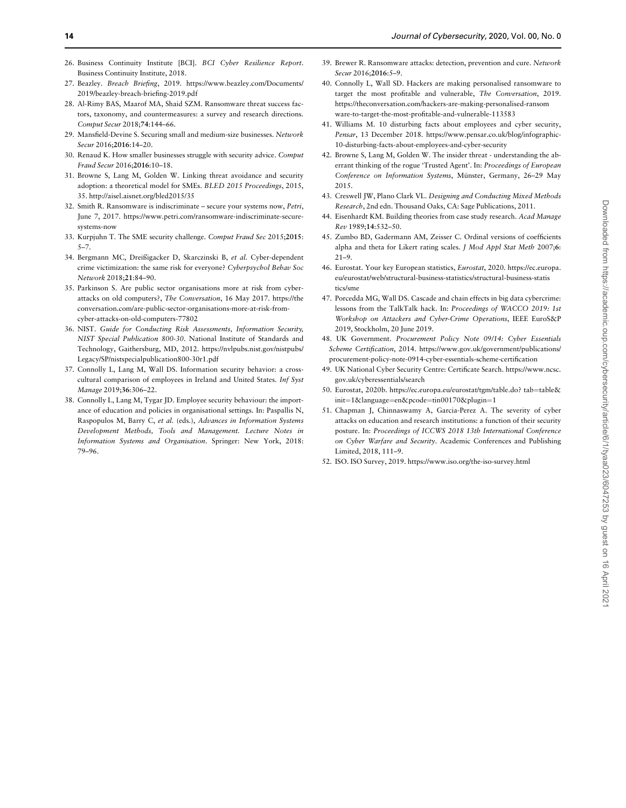- <span id="page-13-0"></span>[26.](#page-2-0) Business Continuity Institute [BCI]. BCI Cyber Resilience Report. Business Continuity Institute, 2018.
- [27.](#page-2-0) Beazley. Breach Briefing, 2019. [https://www.beazley.com/Documents/](https://www.beazley.com/Documents/2019/beazley-breach-briefing-2019.pdf) [2019/beazley-breach-briefing-2019.pdf](https://www.beazley.com/Documents/2019/beazley-breach-briefing-2019.pdf)
- [28.](#page-2-0) Al-Rimy BAS, Maarof MA, Shaid SZM. Ransomware threat success factors, taxonomy, and countermeasures: a survey and research directions. Comput Secur 2018;74:144–66.
- [29.](#page-2-0) Mansfield-Devine S. Securing small and medium-size businesses. Network Secur 2016;2016:14–20.
- [30.](#page-2-0) Renaud K. How smaller businesses struggle with security advice. Comput Fraud Secur 2016;2016:10–18.
- [31.](#page-2-0) Browne S, Lang M, Golden W. Linking threat avoidance and security adoption: a theoretical model for SMEs. BLED 2015 Proceedings, 2015, 35.<http://aisel.aisnet.org/bled2015/35>
- [32.](#page-2-0) Smith R. Ransomware is indiscriminate secure your systems now, Petri, June 7, 2017. [https://www.petri.com/ransomware-indiscriminate-secure](https://www.petri.com/ransomware-indiscriminate-secure-systems-now)[systems-now](https://www.petri.com/ransomware-indiscriminate-secure-systems-now)
- [33.](#page-2-0) Kurpjuhn T. The SME security challenge. Comput Fraud Sec 2015;2015: 5–7.
- [34.](#page-2-0) Bergmann MC, Dreißigacker D, Skarczinski B, et al. Cyber-dependent crime victimization: the same risk for everyone? Cyberpsychol Behav Soc Network 2018;21:84–90.
- [35.](#page-2-0) Parkinson S. Are public sector organisations more at risk from cyberattacks on old computers?, The Conversation, 16 May 2017. [https://the](https://theconversation.com/are-public-sector-organisations-more-at-risk-from-cyber-attacks-on-old-computers-77802) [conversation.com/are-public-sector-organisations-more-at-risk-from](https://theconversation.com/are-public-sector-organisations-more-at-risk-from-cyber-attacks-on-old-computers-77802)[cyber-attacks-on-old-computers-77802](https://theconversation.com/are-public-sector-organisations-more-at-risk-from-cyber-attacks-on-old-computers-77802)
- [36.](#page-3-0) NIST. Guide for Conducting Risk Assessments, Information Security, NIST Special Publication 800-30. National Institute of Standards and Technology, Gaithersburg, MD, 2012. [https://nvlpubs.nist.gov/nistpubs/](https://nvlpubs.nist.gov/nistpubs/Legacy/SP/nistspecialpublication800-30r1.pdf) [Legacy/SP/nistspecialpublication800-30r1.pdf](https://nvlpubs.nist.gov/nistpubs/Legacy/SP/nistspecialpublication800-30r1.pdf)
- [37.](#page-3-0) Connolly L, Lang M, Wall DS. Information security behavior: a crosscultural comparison of employees in Ireland and United States. Inf Syst Manage 2019;36:306–22.
- [38.](#page-3-0) Connolly L, Lang M, Tygar JD. Employee security behaviour: the importance of education and policies in organisational settings. In: Paspallis N, Raspopulos M, Barry C, et al. (eds.), Advances in Information Systems Development Methods, Tools and Management. Lecture Notes in Information Systems and Organisation. Springer: New York, 2018: 79–96.
- [39.](#page-3-0) Brewer R. Ransomware attacks: detection, prevention and cure. Network Secur 2016;2016:5–9.
- [40.](#page-3-0) Connolly L, Wall SD. Hackers are making personalised ransomware to target the most profitable and vulnerable, The Conversation, 2019. [https://theconversation.com/hackers-are-making-personalised-ransom](https://theconversation.com/hackers-are-making-personalised-ransomware-to-target-the-most-profitable-and-vulnerable-113583) [ware-to-target-the-most-profitable-and-vulnerable-113583](https://theconversation.com/hackers-are-making-personalised-ransomware-to-target-the-most-profitable-and-vulnerable-113583)
- [41.](#page-3-0) Williams M. 10 disturbing facts about employees and cyber security, Pensar, 13 December 2018. [https://www.pensar.co.uk/blog/infographic-](https://www.pensar.co.uk/blog/infographic-10-disturbing-facts-about-employees-and-cyber-security)[10-disturbing-facts-about-employees-and-cyber-security](https://www.pensar.co.uk/blog/infographic-10-disturbing-facts-about-employees-and-cyber-security)
- [42.](#page-3-0) Browne S, Lang M, Golden W. The insider threat understanding the aberrant thinking of the rogue 'Trusted Agent'. In: Proceedings of European Conference on Information Systems, Münster, Germany, 26–29 May 2015.
- [43.](#page-3-0) Creswell JW, Plano Clark VL. Designing and Conducting Mixed Methods Research, 2nd edn. Thousand Oaks, CA: Sage Publications, 2011.
- [44.](#page-4-0) Eisenhardt KM. Building theories from case study research. Acad Manage Rev 1989;14:532–50.
- [45.](#page-5-0) Zumbo BD, Gadermann AM, Zeisser C. Ordinal versions of coefficients alpha and theta for Likert rating scales. J Mod Appl Stat Meth 2007;6: 21–9.
- [46.](#page-7-0) Eurostat. Your key European statistics, Eurostat, 2020. [https://ec.europa.](https://ec.europa.eu/eurostat/web/structural-business-statistics/structural-business-statistics/sme) [eu/eurostat/web/structural-business-statistics/structural-business-statis](https://ec.europa.eu/eurostat/web/structural-business-statistics/structural-business-statistics/sme) [tics/sme](https://ec.europa.eu/eurostat/web/structural-business-statistics/structural-business-statistics/sme)
- [47.](#page-8-0) Porcedda MG, Wall DS. Cascade and chain effects in big data cybercrime: lessons from the TalkTalk hack. In: Proceedings of WACCO 2019: 1st Workshop on Attackers and Cyber-Crime Operations, IEEE EuroS&P 2019, Stockholm, 20 June 2019.
- 48. UK Government. Procurement Policy Note 09/14: Cyber Essentials Scheme Certification, 2014. [https://www.gov.uk/government/publications/](https://www.gov.uk/government/publications/procurement-policy-note-0914-cyber-essentials-scheme-certification) [procurement-policy-note-0914-cyber-essentials-scheme-certification](https://www.gov.uk/government/publications/procurement-policy-note-0914-cyber-essentials-scheme-certification)
- [49.](#page-9-0) UK National Cyber Security Centre: Certificate Search. [https://www.ncsc.](https://www.ncsc.gov.uk/cyberessentials/search) [gov.uk/cyberessentials/search](https://www.ncsc.gov.uk/cyberessentials/search)
- [50.](#page-9-0) Eurostat, 2020b. [https://ec.europa.eu/eurostat/tgm/table.do? tab](https://ec.europa.eu/eurostat/tgm/table.do? tab=table&hx0026;init=1&hx0026;language=en&hx0026;pcode=tin00170&hx0026;plugin=1)=[table](https://ec.europa.eu/eurostat/tgm/table.do? tab=table&hx0026;init=1&hx0026;language=en&hx0026;pcode=tin00170&hx0026;plugin=1)& [init](https://ec.europa.eu/eurostat/tgm/table.do? tab=table&hx0026;init=1&hx0026;language=en&hx0026;pcode=tin00170&hx0026;plugin=1)=[1](https://ec.europa.eu/eurostat/tgm/table.do? tab=table&hx0026;init=1&hx0026;language=en&hx0026;pcode=tin00170&hx0026;plugin=1)&[language](https://ec.europa.eu/eurostat/tgm/table.do? tab=table&hx0026;init=1&hx0026;language=en&hx0026;pcode=tin00170&hx0026;plugin=1)=[en](https://ec.europa.eu/eurostat/tgm/table.do? tab=table&hx0026;init=1&hx0026;language=en&hx0026;pcode=tin00170&hx0026;plugin=1)&[pcode](https://ec.europa.eu/eurostat/tgm/table.do? tab=table&hx0026;init=1&hx0026;language=en&hx0026;pcode=tin00170&hx0026;plugin=1)=[tin00170&plugin](https://ec.europa.eu/eurostat/tgm/table.do? tab=table&hx0026;init=1&hx0026;language=en&hx0026;pcode=tin00170&hx0026;plugin=1)=1
- [51.](#page-9-0) Chapman J, Chinnaswamy A, Garcia-Perez A. The severity of cyber attacks on education and research institutions: a function of their security posture. In: Proceedings of ICCWS 2018 13th International Conference on Cyber Warfare and Security. Academic Conferences and Publishing Limited, 2018, 111–9.
- [52.](#page-9-0) ISO. ISO Survey, 2019.<https://www.iso.org/the-iso-survey.html>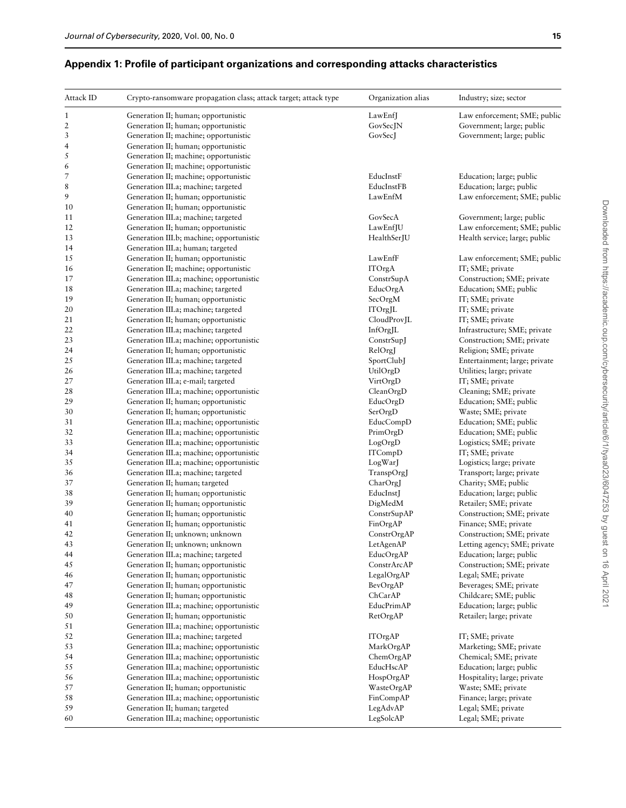| ٦            |
|--------------|
| ۰.<br>v<br>× |

## Attack ID Crypto-ransomware propagation class; attack target; attack type Organization alias Industry; size; sector 1 Generation II; human; opportunistic LawEnfJ Law enforcement; SME; public 2 Generation II; human; opportunistic Government; large; public GovSecJN Government; large; public 3 Generation II; machine; opportunistic GovSecJ GovSecJ Government; large; public 4 Generation II; human; opportunistic 5 Generation II; machine; opportunistic 6 Generation II; machine; opportunistic 7 Generation II; machine; opportunistic EducInstF Education; large; public 8 Generation III.a; machine; targeted EducInstFB EducInstFB Education; large; public 9 Generation II; human; opportunistic LawEnfM Law enforcement; SME; public 10 Generation II; human; opportunistic 11 Generation III.a; machine; targeted GovSecA Government; large; public 12 Generation II; human; opportunistic LawEnfJU Law enforcement; SME; public 13 Generation III.b; machine; opportunistic Health Service; large; public Health service; large; public 14 Generation III.a; human; targeted 15 Generation II; human; opportunistic LawEnfF Law enforcement; SME; public 16 Generation II; machine; opportunistic  $I = \text{ITOrgA}$  ITC ITC IT; SME; private 17 Generation III.a; machine; opportunistic ConstrSupA Construction; SME; private 18 Generation III.a; machine; targeted EducOrgA Education; SME; public 19 Generation II; human; opportunistic SecOrgM SecOrgM IT; SME; private 20 Generation III.a; machine; targeted ITOrgJL IT; SME; private 21 Generation II; human; opportunistic CloudProvJL CloudProvJL IT; SME; private 22 Generation III.a; machine; targeted InfOrgJL InforgJL Infrastructure; SME; private 23 Generation III.a; machine; opportunistic ConstrSupJ Construction; SME; private 24 Generation II; human; opportunistic RelOrgJ Religion; SME; private 25 Generation III.a; machine; targeted SportClubJ Entertainment; large; private 26 Generation III.a; machine; targeted UtilOrgD Utilities; large; private 27 Generation III.a; e-mail; targeted VirtOrgD IT; SME; private 28 Generation III.a; machine; opportunistic Clean CleanOrgD Cleaning; SME; private 29 Generation II; human; opportunistic EducOrgD Education; SME; public 30 Generation II; human; opportunistic SerOrgD SerOrgD Waste; SME; private 31 Generation III.a; machine; opportunistic EducCompD Education; SME; public 32 Generation III.a; machine; opportunistic PrimOrgD Education; SME; public 33 Generation III.a; machine; opportunistic LogOrgD Logistics; SME; private 34 Generation III.a; machine; opportunistic ITCompD IT; SME; private 35 Generation III.a; machine; opportunistic LogWarJ Logistics; large; private 36 Generation III.a; machine; targeted TranspOrgJ Transport; large; private 37 Generation II; human; targeted CharOrgJ Charity; SME; public 38 Generation II; human; opportunistic EducInstJ Education; large; public 39 Generation II; human; opportunistic DigMedM DigMedM Retailer; SME; private 40 Generation II; human; opportunistic ConstrSupAP Construction; SME; private 41 Generation II; human; opportunistic FinQrgAP Finance; SME; private 42 Generation II; unknown; unknown ConstrOrgAP Construction; SME; private 43 Generation II; unknown; unknown LetAgenAP Letting agency; SME; private 44 Generation III.a; machine; targeted EducOrgAP Education; large; public 45 Generation II; human; opportunistic ConstrArcAP Construction; SME; private 46 Generation II; human; opportunistic LegalOrgAP Legal; SME; private 47 Generation II; human; opportunistic BevOrgAP BevOrgAP Beverages; SME; private 48 Generation II; human; opportunistic Childcare; SME; public Childcare; SME; public 49 Generation III.a; machine; opportunistic EducPrimAP Education; large; public 50 **Generation II; human; opportunistic** RetOrgAP Retailer; large; private 51 Generation III.a; machine; opportunistic 52 Generation III.a; machine; targeted ITOrgAP IT; SME; private 53 Generation III.a; machine; opportunistic MarkOrgAP Marketing; SME; private 54 Generation III.a; machine; opportunistic ChemOrgAP Chemical; SME; private

## Appendix 1: Profile of participant organizations and corresponding attacks characteristics

55 Generation III.a; machine; opportunistic EducHscAP Education; large; public 56 Generation III.a; machine; opportunistic HospOrgAP Hospitality; large; private 57 Generation II; human; opportunistic WasteOrgAP Waste; SME; private 58 Generation III.a; machine; opportunistic Finance; large; private Finance; large; private 59 Generation II; human; targeted LegAdvAP Legal; SME; private 60 Generation III.a; machine; opportunistic LegSolcAP Legal; SME; private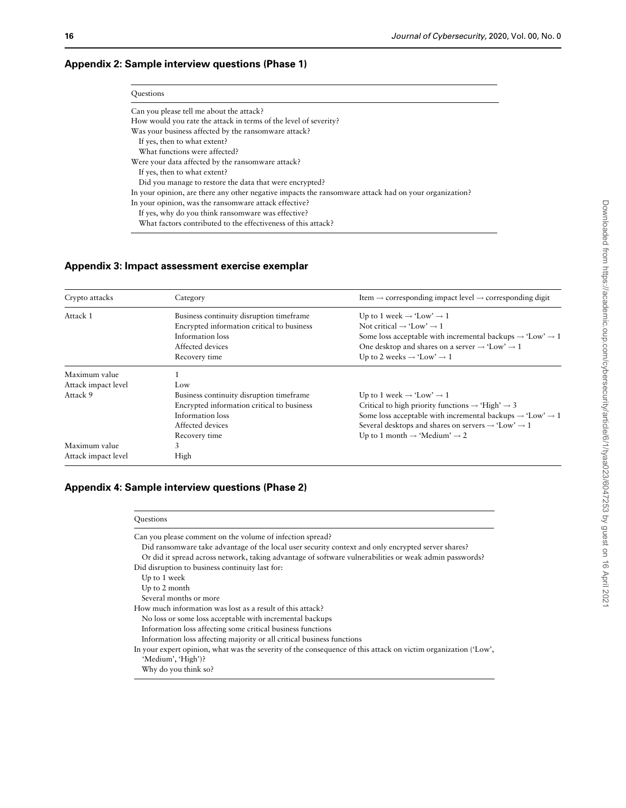# Appendix 2: Sample interview questions (Phase 1)

| Questions                                                                                             |
|-------------------------------------------------------------------------------------------------------|
| Can you please tell me about the attack?                                                              |
| How would you rate the attack in terms of the level of severity?                                      |
| Was your business affected by the ransomware attack?                                                  |
| If yes, then to what extent?                                                                          |
| What functions were affected?                                                                         |
| Were your data affected by the ransomware attack?                                                     |
| If yes, then to what extent?                                                                          |
| Did you manage to restore the data that were encrypted?                                               |
| In your opinion, are there any other negative impacts the ransomware attack had on your organization? |
| In your opinion, was the ransomware attack effective?                                                 |
| If yes, why do you think ransomware was effective?                                                    |
| What factors contributed to the effectiveness of this attack?                                         |

# Appendix 3: Impact assessment exercise exemplar

| Crypto attacks      | Category                                   | Item $\rightarrow$ corresponding impact level $\rightarrow$ corresponding digit   |
|---------------------|--------------------------------------------|-----------------------------------------------------------------------------------|
| Attack 1            | Business continuity disruption timeframe   | Up to 1 week $\rightarrow$ 'Low' $\rightarrow$ 1                                  |
|                     | Encrypted information critical to business | Not critical $\rightarrow$ 'Low' $\rightarrow$ 1                                  |
|                     | Information loss                           | Some loss acceptable with incremental backups $\rightarrow$ 'Low' $\rightarrow$ 1 |
|                     | Affected devices                           | One desktop and shares on a server $\rightarrow$ 'Low' $\rightarrow$ 1            |
|                     | Recovery time                              | Up to 2 weeks $\rightarrow$ 'Low' $\rightarrow$ 1                                 |
| Maximum value       |                                            |                                                                                   |
| Attack impact level | Low                                        |                                                                                   |
| Attack 9            | Business continuity disruption timeframe   | Up to 1 week $\rightarrow$ 'Low' $\rightarrow$ 1                                  |
|                     | Encrypted information critical to business | Critical to high priority functions $\rightarrow$ 'High' $\rightarrow$ 3          |
|                     | Information loss                           | Some loss acceptable with incremental backups $\rightarrow$ 'Low' $\rightarrow$ 1 |
|                     | Affected devices                           | Several desktops and shares on servers $\rightarrow$ 'Low' $\rightarrow$ 1        |
|                     | Recovery time                              | Up to 1 month $\rightarrow$ 'Medium' $\rightarrow$ 2                              |
| Maximum value       | 3                                          |                                                                                   |
| Attack impact level | High                                       |                                                                                   |

# Appendix 4: Sample interview questions (Phase 2)

| Questions                                                                                                      |
|----------------------------------------------------------------------------------------------------------------|
| Can you please comment on the volume of infection spread?                                                      |
| Did ransomware take advantage of the local user security context and only encrypted server shares?             |
| Or did it spread across network, taking advantage of software vulnerabilities or weak admin passwords?         |
| Did disruption to business continuity last for:                                                                |
| Up to 1 week                                                                                                   |
| Up to 2 month                                                                                                  |
| Several months or more                                                                                         |
| How much information was lost as a result of this attack?                                                      |
| No loss or some loss acceptable with incremental backups                                                       |
| Information loss affecting some critical business functions                                                    |
| Information loss affecting majority or all critical business functions                                         |
| In your expert opinion, what was the severity of the consequence of this attack on victim organization ('Low', |
| 'Medium', 'High')?                                                                                             |
| Why do you think so?                                                                                           |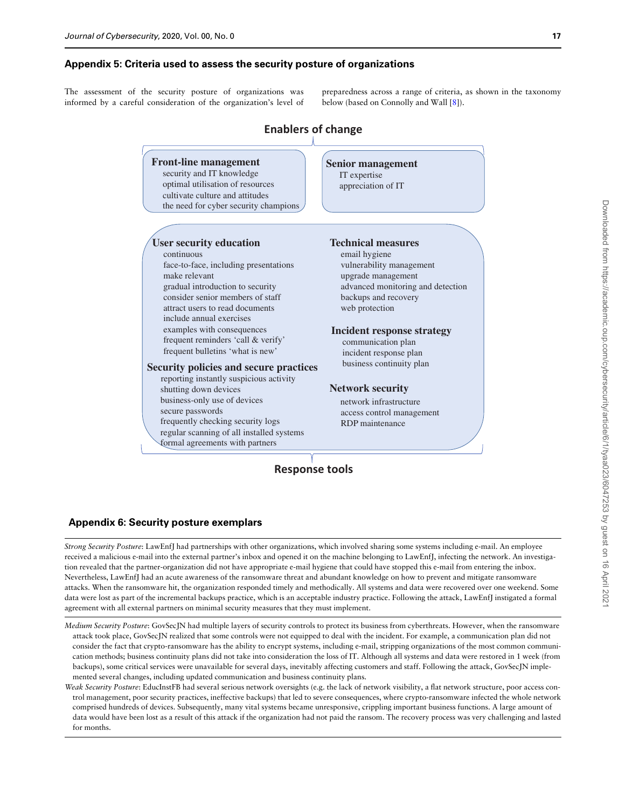## Appendix 5: Criteria used to assess the security posture of organizations

The assessment of the security posture of organizations was informed by a careful consideration of the organization's level of preparedness across a range of criteria, as shown in the taxonomy below (based on Connolly and Wall [[8](#page-12-0)]).



## Appendix 6: Security posture exemplars

Strong Security Posture: LawEnfJ had partnerships with other organizations, which involved sharing some systems including e-mail. An employee received a malicious e-mail into the external partner's inbox and opened it on the machine belonging to LawEnfJ, infecting the network. An investigation revealed that the partner-organization did not have appropriate e-mail hygiene that could have stopped this e-mail from entering the inbox. Nevertheless, LawEnfJ had an acute awareness of the ransomware threat and abundant knowledge on how to prevent and mitigate ransomware attacks. When the ransomware hit, the organization responded timely and methodically. All systems and data were recovered over one weekend. Some data were lost as part of the incremental backups practice, which is an acceptable industry practice. Following the attack, LawEnfJ instigated a formal agreement with all external partners on minimal security measures that they must implement.

Medium Security Posture: GovSecJN had multiple layers of security controls to protect its business from cyberthreats. However, when the ransomware attack took place, GovSecJN realized that some controls were not equipped to deal with the incident. For example, a communication plan did not consider the fact that crypto-ransomware has the ability to encrypt systems, including e-mail, stripping organizations of the most common communication methods; business continuity plans did not take into consideration the loss of IT. Although all systems and data were restored in 1 week (from backups), some critical services were unavailable for several days, inevitably affecting customers and staff. Following the attack, GovSecJN implemented several changes, including updated communication and business continuity plans.

Weak Security Posture: EducInstFB had several serious network oversights (e.g. the lack of network visibility, a flat network structure, poor access control management, poor security practices, ineffective backups) that led to severe consequences, where crypto-ransomware infected the whole network comprised hundreds of devices. Subsequently, many vital systems became unresponsive, crippling important business functions. A large amount of data would have been lost as a result of this attack if the organization had not paid the ransom. The recovery process was very challenging and lasted for months.